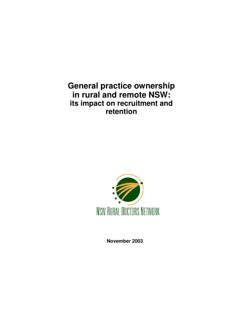**General practice ownership in rural and remote NSW: its impact on recruitment and retention**



**November 2003**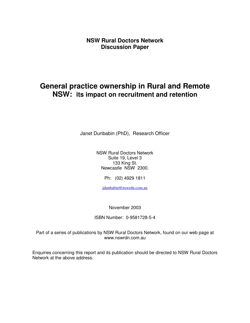**NSW Rural Doctors Network Discussion Paper**

# **General practice ownership in Rural and Remote NSW: its impact on recruitment and retention**

Janet Dunbabin (PhD), Research Officer

NSW Rural Doctors Network Suite 19, Level 3 133 King St. Newcastle NSW 2300.

Ph: (02) 4929 1811

jdunbabin@nswrdn.com.au

November 2003

ISBN Number: 0-9581728-5-4

Part of a series of publications by NSW Rural Doctors Network, found on our web page at www.nswrdn.com.au

Enquiries concerning this report and its publication should be directed to NSW Rural Doctors Network at the above address.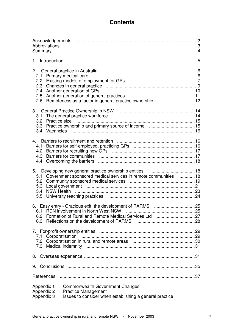# **Contents**

| 2.4<br>Remoteness as a factor in general practice ownership 12<br>2.6                                                                                                     |  |
|---------------------------------------------------------------------------------------------------------------------------------------------------------------------------|--|
| 3.1                                                                                                                                                                       |  |
| 4.1                                                                                                                                                                       |  |
| 5.1 Government sponsored medical services in remote communities 18                                                                                                        |  |
|                                                                                                                                                                           |  |
| Corporatisation<br>7.1                                                                                                                                                    |  |
| 8.                                                                                                                                                                        |  |
| 9.                                                                                                                                                                        |  |
| References                                                                                                                                                                |  |
| <b>Commonwealth Government Changes</b><br>Appendix 1<br>Appendix 2<br><b>Practice Management</b><br>Issues to consider when establishing a general practice<br>Appendix 3 |  |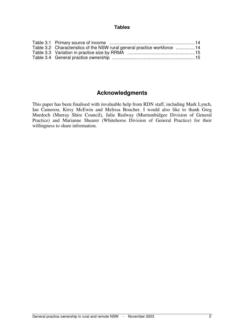#### **Tables**

| Table 3.2 Characteristics of the NSW rural general practice workforce 14 |  |
|--------------------------------------------------------------------------|--|
|                                                                          |  |
|                                                                          |  |

# **Acknowledgments**

This paper has been finalised with invaluable help from RDN staff, including Mark Lynch, Ian Cameron, Kirsy McEwin and Melissa Boucher. I would also like to thank Greg Murdoch (Murray Shire Council), Julie Redway (Murrumbidgee Division of General Practice) and Marianne Shearer (Whitehorse Division of General Practice) for their willingness to share information.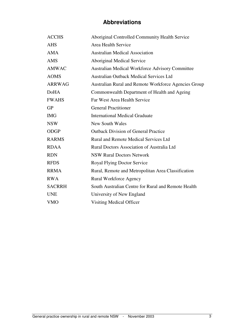# **Abbreviations**

| <b>ACCHS</b>  | Aboriginal Controlled Community Health Service       |
|---------------|------------------------------------------------------|
| <b>AHS</b>    | Area Health Service                                  |
| <b>AMA</b>    | <b>Australian Medical Association</b>                |
| <b>AMS</b>    | Aboriginal Medical Service                           |
| <b>AMWAC</b>  | Australian Medical Workforce Advisory Committee      |
| <b>AOMS</b>   | <b>Australian Outback Medical Services Ltd</b>       |
| <b>ARRWAG</b> | Australian Rural and Remote Workforce Agencies Group |
| <b>DoHA</b>   | Commonwealth Department of Health and Ageing         |
| <b>FWAHS</b>  | Far West Area Health Service                         |
| <b>GP</b>     | <b>General Practitioner</b>                          |
| <b>IMG</b>    | <b>International Medical Graduate</b>                |
| <b>NSW</b>    | <b>New South Wales</b>                               |
| <b>ODGP</b>   | <b>Outback Division of General Practice</b>          |
| <b>RARMS</b>  | <b>Rural and Remote Medical Services Ltd</b>         |
| <b>RDAA</b>   | Rural Doctors Association of Australia Ltd           |
| <b>RDN</b>    | <b>NSW Rural Doctors Network</b>                     |
| <b>RFDS</b>   | <b>Royal Flying Doctor Service</b>                   |
| <b>RRMA</b>   | Rural, Remote and Metropolitan Area Classification   |
| <b>RWA</b>    | <b>Rural Workforce Agency</b>                        |
| <b>SACRRH</b> | South Australian Centre for Rural and Remote Health  |
| <b>UNE</b>    | University of New England                            |
| <b>VMO</b>    | Visiting Medical Officer                             |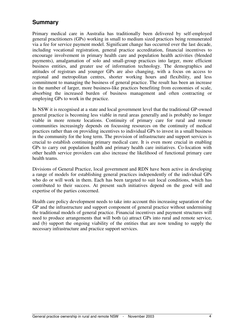# **Summary**

Primary medical care in Australia has traditionally been delivered by self-employed general practitioners (GPs) working in small to medium sized practices being remunerated via a fee for service payment model. Significant change has occurred over the last decade, including vocational registration, general practice accreditation, financial incentives to encourage involvement in primary health care and population health activities (blended payments), amalgamation of solo and small-group practices into larger, more efficient business entities, and greater use of information technology. The demographics and attitudes of registrars and younger GPs are also changing, with a focus on access to regional and metropolitan centres, shorter working hours and flexibility, and less commitment to managing the business of general practice. The result has been an increase in the number of larger, more business-like practices benefiting from economies of scale, absorbing the increased burden of business management and often contracting or employing GPs to work in the practice.

In NSW it is recognised at a state and local government level that the traditional GP-owned general practice is becoming less viable in rural areas generally and is probably no longer viable in more remote locations. Continuity of primary care for rural and remote communities increasingly depends on focussing resources on the continuity of medical practices rather than on providing incentives to individual GPs to invest in a small business in the community for the long term. The provision of infrastructure and support services is crucial to establish continuing primary medical care. It is even more crucial in enabling GPs to carry out population health and primary health care initiatives. Co-location with other health service providers can also increase the likelihood of functional primary care health teams.

Divisions of General Practice, local government and RDN have been active in developing a range of models for establishing general practices independently of the individual GPs who do or will work in them. Each has been targeted to suit local conditions, which has contributed to their success. At present such initiatives depend on the good will and expertise of the parties concerned.

Health care policy development needs to take into account this increasing separation of the GP and the infrastructure and support component of general practice without undermining the traditional models of general practice. Financial incentives and payment structures will need to produce arrangements that will both (a) attract GPs into rural and remote service, and (b) support the ongoing viability of the entities that are now tending to supply the necessary infrastructure and practice support services.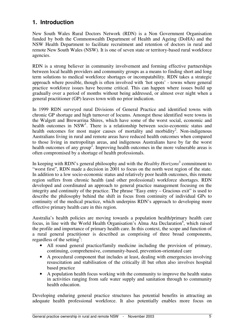# **1. Introduction**

New South Wales Rural Doctors Network (RDN) is a Non Government Organisation funded by both the Commonwealth Department of Health and Ageing (DoHA) and the NSW Health Department to facilitate recruitment and retention of doctors in rural and remote New South Wales (NSW). It is one of seven state or territory-based rural workforce agencies.

RDN is a strong believer in community involvement and forming effective partnerships between local health providers and community groups as a means to finding short and long term solutions to medical workforce shortages or incompatability. RDN takes a strategic approach where possible, though is often involved with 'hot spots' - towns where general practice workforce issues have become critical. This can happen where issues build up gradually over a period of months without being addressed, or almost over night when a general practitioner (GP) leaves town with no prior indication.

In 1999 RDN surveyed rural Divisions of General Practice and identified towns with chronic GP shortage and high turnover of locums. Amongst those identified were towns in the Walgett and Brewarrina Shires, which have some of the worst social, economic and health outcomes in NSW<sup>1</sup>. There is a relationship between socio-economic status and health outcomes for most major causes of mortality and morbidity<sup>2</sup>. Non-indigenous Australians living in rural and remote areas have reduced health outcomes when compared to those living in metropolitan areas, and indigenous Australians have by far the worst health outcomes of any group<sup>2</sup>. Improving health outcomes in the more vulnerable areas is often compromised by a shortage of health professionals.

In keeping with RDN's general philosophy and with the *Healthy Horizons* 3 commitment to "worst first", RDN made a decision in 2001 to focus on the north west region of the state. In addition to a low socio-economic status and relatively poor health outcomes, this remote region suffers from chronic health (and other professional) workforce shortages. RDN developed and coordinated an approach to general practice management focusing on the integrity and continuity of the practice. The phrase "Easy entry – Gracious exit" is used to describe the philosophy behind the shift in focus from continuity of individual GPs to continuity of the medical practice, which underpins RDN's approach to developing more effective primary health care in this region.

Australia's health policies are moving towards a population health/primary health care focus, in line with the World Health Organisation's Alma Ata Declaration<sup>4</sup>, which raised the profile and importance of primary health care. In this context, the scope and function of a rural general practitioner is described as comprising of three broad components, regardless of the setting<sup>5</sup>:

- All round general practice/family medicine including the provision of primary, continuing, comprehensive, community-based, prevention-orientated care
- A procedural component that includes at least, dealing with emergencies involving resuscitation and stabilisation of the critically ill but often also involves hospital based practice
- A population health focus working with the community to improve the health status in activities ranging from safe water supply and sanitation through to community health education.

Developing enduring general practice structures has potential benefits in attracting an adequate health professional workforce. It also potentially enables more focus on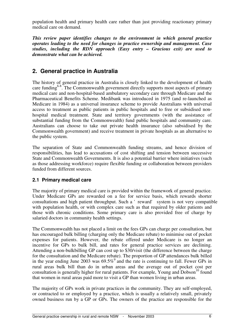population health and primary health care rather than just providing reactionary primary medical care on demand.

*This review paper identifies changes to the environment in which general practice operates leading to the need for changes in practice ownership and management. Case studies, including the RDN approach (Easy entry – Gracious exit) are used to demonstrate what can be achieved.*

# **2. General practice in Australia**

The history of general practice in Australia is closely linked to the development of health care funding<sup>6-8</sup>. The Commonwealth government directly supports most aspects of primary medical care and non-hospital-based ambulatory secondary care through Medicare and the Pharmaceutical Benefits Scheme. Medibank was introduced in 1975 (and re-launched as Medicare in 1984) as a universal insurance scheme to provide Australians with universal access to treatment as public patients in public hospitals and to free or subsidised nonhospital medical treatment. State and territory governments (with the assistance of substantial funding from the Commonwealth) fund public hospitals and community care. Australians can choose to take out private health insurance (also subsidised by the Commonwealth government) and receive treatment in private hospitals as an alternative to the public system.

The separation of State and Commonwealth funding streams, and hence division of responsibilities, has lead to accusations of cost shifting and tension between successive State and Commonwealth Governments. It is also a potential barrier where initiatives (such as those addressing workforce) require flexible funding or collaboration between providers funded from different sources.

## **2.1 Primary medical care**

The majority of primary medical care is provided within the framework of general practice. Under Medicare GPs are rewarded on a fee for service basis, which rewards shorter consultations and high patient throughput. Such a 'reward' system is not very compatible with population health, or with complex care such as that required by older patients and those with chronic conditions. Some primary care is also provided free of charge by salaried doctors in community health settings.

The Commonwealth has not placed a limit on the fees GPs can charge per consultation, but has encouraged bulk billing (charging only the Medicare rebate) to minimise out of pocket expenses for patients. However, the rebate offered under Medicare is no longer an incentive for GPs to bulk bill, and rates for general practice services are declining. Attending a non-bulkbilling GP can cost up to \$30/visit (the difference between the charge for the consultation and the Medicare rebate). The proportion of GP attendances bulk billed in the year ending June 2003 was  $69.5\%$ <sup>9</sup> and the rate is continuing to fall. Fewer GPs in rural areas bulk bill than do in urban areas and the average out of pocket cost per consultation is generally higher for rural patients. For example, Young and Dobson<sup>10</sup> found that women in rural areas paid more to visit a GP than women living in urban areas.

The majority of GPs work in private practices in the community. They are self-employed, or contracted to or employed by a practice, which is usually a relatively small, privately owned business run by a GP or GPs. The owners of the practice are responsible for the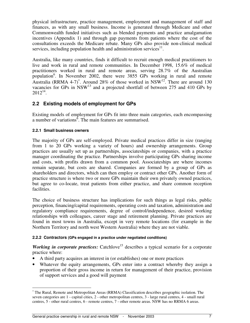physical infrastructure, practice management, employment and management of staff and finances, as with any small business. Income is generated through Medicare and other Commonwealth funded initiatives such as blended payments and practice amalgamation incentives (Appendix 1) and through gap payments from patients where the cost of the consultations exceeds the Medicare rebate. Many GPs also provide non-clinical medical services, including population health and administration services<sup>11</sup>.

Australia, like many countries, finds it difficult to recruit enough medical practitioners to live and work in rural and remote communities. In December 1998, 15.6% of medical practitioners worked in rural and remote areas, serving 28.7% of the Australian population<sup>6</sup>. In November 2002, there were 3855 GPs working in rural and remote Australia (RRMA 4-7)<sup>\*</sup>. Around 28% of those worked in NSW<sup>12</sup>. There are around 130 vacancies for GPs in  $\text{NSW}^{13}$  and a projected shortfall of between 275 and 410 GPs by  $2012^{14}$ .

## **2.2 Existing models of employment for GPs**

Existing models of employment for GPs fit into three main categories, each encompassing a number of variations<sup>6</sup>. The main features are summarised.

### **2.2.1 Small business owners**

j

The majority of GPs are self-employed. Private medical practices differ in size (ranging from 1 to 20 GPs working a variety of hours) and ownership arrangements. Group practices are usually set up as partnerships, associateships or companies, with a practice manager coordinating the practice. Partnerships involve participating GPs sharing income and costs, with profits drawn from a common pool. Associateships are where incomes remain separate, but costs are shared. Companies are formed by a group of GPs as shareholders and directors, which can then employ or contract other GPs. Another form of practice structure is where two or more GPs maintain their own privately owned practices, but agree to co-locate, treat patients from either practice, and share common reception facilities.

The choice of business structure has implications for such things as legal risks, public perception, financing/capital requirements, operating costs and taxation, administration and regulatory compliance requirements, degree of control/independence, desired working relationships with colleagues, career stage and retirement planning. Private practices are found in most towns in Australia, except in very remote locations (for example in the Northern Territory and north west Western Australia) where they are not viable.

### **2.2.2 Contractors (GPs engaged in a practice under negotiated conditions)**

Working in corporate practices: Catchlove<sup>15</sup> describes a typical scenario for a corporate practice where:

- A third party acquires an interest in (or establishes) one or more practices
- Whatever the equity arrangements, GPs enter into a contract whereby they assign a proportion of their gross income in return for management of their practice, provision of support services and a good will payment

<sup>∗</sup> The Rural, Remote and Metropolitan Areas (RRMA) Classification describes geographic isolation. The seven categories are 1 - capital cities, 2 - other metropolitan centres, 3 - large rural centres, 4 - small rural centres, 5 - other rural centres, 6 - remote centres, 7 - other remote areas. NSW has no RRMA 6 areas.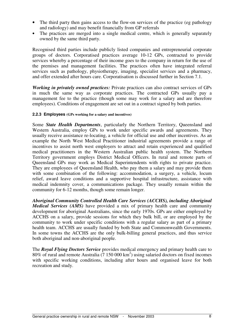- The third party then gains access to the flow-on services of the practice (eg pathology and radiology) and may benefit financially from GP referrals
- The practices are merged into a single medical centre, which is generally separately owned by the same third party.

Recognised third parties include publicly listed companies and entrepreneurial corporate groups of doctors. Corporatised practices average 10-12 GPs, contracted to provide services whereby a percentage of their income goes to the company in return for the use of the premises and management facilities. The practices often have integrated referral services such as pathology, physiotherapy, imaging, specialist services and a pharmacy, and offer extended after hours care. Corporatisation is discussed further in Section 7.1.

*Working in privately owned practices:* Private practices can also contract services of GPs in much the same way as corporate practices. The contracted GPs usually pay a management fee to the practice (though some may work for a salary and are therefore employees). Conditions of engagement are set out in a contract signed by both parties.

#### **2.2.3 Employees (GPs working for a salary and incentives)**

Some *State Health Departments*, particularly the Northern Territory, Queensland and Western Australia, employ GPs to work under specific awards and agreements. They usually receive assistance re-locating, a vehicle for official use and other incentives. As an example the North West Medical Practitioner industrial agreements provide a range of incentives to assist north west employers to attract and retain experienced and qualified medical practitioners in the Western Australian public health system. The Northern Territory government employs District Medical Officers. In rural and remote parts of Queensland GPs may work as Medical Superintendents with rights to private practice. They are employees of Queensland Health, who pay them a salary and may provide them with some combination of the following: accommodation, a surgery, a vehicle, locum relief, award leave conditions and a supportive hospital infrastructure, assistance with medical indemnity cover, a communications package. They usually remain within the community for 6-12 months, though some remain longer.

*Aboriginal Community Controlled Health Care Services (ACCHS), including Aboriginal Medical Services (AMS)* have provided a mix of primary health care and community development for aboriginal Australians, since the early 1970s. GPs are either employed by ACCHS on a salary, provide sessions for which they bulk bill, or are employed by the community to work under specific conditions with a regular salary as part of a primary health team. ACCHS are usually funded by both State and Commonwealth Governments. In some towns the ACCHS are the only bulk-billing general practices, and thus service both aboriginal and non-aboriginal people.

The *Royal Flying Doctors Service* provides medical emergency and primary health care to 80% of rural and remote Australia (7 150 000 km 2 ) using salaried doctors on fixed incomes with specific working conditions, including after hours and organised leave for both recreation and study.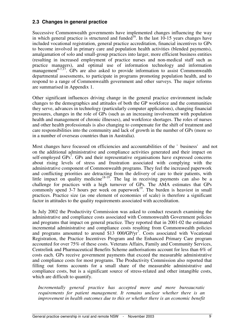# **2.3 Changes in general practice**

Successive Commonwealth governments have implemented changes influencing the way in which general practice is structured and funded<sup>16</sup>. In the last 10-15 years changes have included vocational registration, general practice accreditation, financial incentives to GPs to become involved in primary care and population health activities (blended payments), amalgamation of solo and small-group practices into larger, more efficient business entities (resulting in increased employment of practice nurses and non-medical staff such as practice managers), and optimal use of information technology and information management<sup>6-7,17</sup>. GPs are also asked to provide information to assist Commonwealth departmental assessments, to participate in programs promoting population health, and to respond to a range of Commonwealth government and other surveys. The major reforms are summarised in Appendix 1.

Other significant influences driving change in the general practice environment include changes to the demographics and attitudes of both the GP workforce and the communities they serve, advances in technology (particularly computer applications), changing financial pressures, changes in the role of GPs (such as an increasing involvement with population health and management of chronic illnesses), and workforce shortages. The roles of nurses and other health professionals is also changing to compensate for the shift of treatment and care responsibilities into the community and lack of growth in the number of GPs (more so in a number of overseas countries than in Australia).

Most changes have focussed on efficiencies and accountabilities of the 'business' and not on the additional administrative and compliance activities generated and their impact on self-employed GPs<sup>7</sup>. GPs and their representative organisations have expressed concerns about rising levels of stress and frustration associated with complying with the administrative component of Commonwealth programs. They feel the increased paperwork and conflicting priorities are detracting from the delivery of care to their patients, with little impact on quality medicine<sup>18-19</sup>. The lag in receiving payments can also be a challenge for practices with a high turnover of GPs. The AMA estimates that GPs commonly spend 3-7 hours per week on paperwork<sup>19</sup>. The burden is heaviest in small practices. Practice size (as one element of economies of scale) is therefore a significant factor in attitudes to the quality requirements associated with accreditation.

In July 2002 the Productivity Commission was asked to conduct research examining the administrative and compliance costs associated with Commonwealth Government policies and programs that impact on general practice. They reported that in 2001-02 the estimated incremental administrative and compliance costs resulting from Commonwealth policies and programs amounted to around \$13 000/GP/yr<sup>7</sup>. Costs associated with Vocational Registration, the Practice Incentives Program and the Enhanced Primary Care program accounted for over 75% of these costs. Veterans Affairs, Family and Community Services, Centrelink and Pharmaceutical Benefits Scheme authorisations account for less than 6% of costs each. GPs receive government payments that exceed the measurable administrative and compliance costs for most programs. The Productivity Commission also reported that filling out forms accounts for a small share of the measurable administrative and compliance costs, but is a significant source of stress-related and other intangible costs, which are difficult to quantify.

*Incrementally general practice has accepted more and more bureaucratic requirements for patient management. It remains unclear whether there is an improvement in health outcomes due to this or whether there is an economic benefit*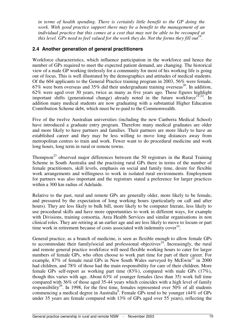*in terms of health spending. There is certainly little benefit to the GP doing the work. With good practice support there may be a benefit to the management of an individual practice but this comes at a cost that may not be able to be recouped at this level. GPs need to feel valued for the work they do. Not the forms they fill out 18* .

### **2.4 Another generation of general practitioners**

Workforce characteristics, which influence participation in the workforce and hence the number of GPs required to meet the expected patient demand, are changing. The historical view of a male GP working tirelessly for a community for most of his working life is going out of focus. This is well illustrated by the demographics and attitudes of medical students. Of the 604 applicants to the General Practice training program in 2003, 56% were female, 67% were born overseas and 35% did their undergraduate training overseas 20 *.* In addition, 62% were aged over 30 years, twice as many as five years ago. These figures highlight important shifts (generational change) already noted in the future workforce<sup>21-22</sup>. In addition many medical students are now graduating with a substantial Higher Education Contribution Scheme debt, which must be re-paid to the Commonwealth.

Five of the twelve Australian universities (including the new Canberra Medical School) have introduced a graduate entry program. Therefore many medical graduates are older and more likely to have partners and families. Their partners are more likely to have an established career and they may be less willing to move long distances away from metropolitan centres to train and work. Fewer want to do procedural medicine and work long hours, long term in rural or remote towns.

Thompson<sup>23</sup> observed major differences between the 50 registrars in the Rural Training Scheme in South Australia and the practising rural GPs there in terms of the number of female practitioners, skill levels, emphasis on social and family time, desire for flexible work arrangements and willingness to work in isolated rural environments. Employment for partners was also important and the registrars stated a preference for larger practices within a 300 km radius of Adelaide.

Relative to the past, rural and remote GPs are generally older, more likely to be female, and pressured by the expectation of long working hours (particularly on call and after hours). They are less likely to bulk bill, more likely to be computer literate, less likely to use procedural skills and have more opportunities to work in different ways, for example with Divisions, training consortia, Area Health Services and similar organisations in non clinical roles. They are retiring at an earlier age and are less likely to move to locum or part time work in retirement because of costs associated with indemnity cover<sup>14</sup>.

General practice, as a branch of medicine, is seen as flexible enough to allow female GPs to accommodate their family/social and professional objectives<sup>24</sup>. Increasingly, the rural and remote general practice workforce will need flexible working hours to cater for larger numbers of female GPs, who often choose to work part time for part of their career. For example, 87% of female rural GPs in New South Wales surveyed by McEwin<sup>25</sup> in 2000 had children, and 78% of those had the main responsibility for care of their children. More female GPs self-report as working part time (83%), compared with male GPs (17%), though this varies with age. About 63% of younger females (less than 35) work full time compared with 36% of those aged 35-44 years which coincides with a high level of family responsibility<sup>26</sup>. In 1998, for the first time, females represented over 50% of all students commencing a medical degree in Australia<sup>9</sup>. Female GPs tend to be younger (44% of GPs under 35 years are female compared with 13% of GPs aged over 55 years), reflecting the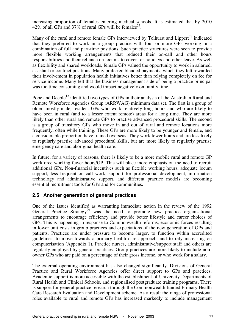increasing proportion of females entering medical schools. It is estimated that by 2010 42% of all GPs and 37% of rural GPs will be females<sup>27</sup>.

Many of the rural and remote female GPs interviewed by Tolhurst and Lippert<sup>28</sup> indicated that they preferred to work in a group practice with four or more GPs working in a combination of full and part-time positions. Such practice structures were seen to provide more flexible working arrangements that reduced their on-call and other hours responsibilities and their reliance on locums to cover for holidays and other leave. As well as flexibility and shared workloads, female GPs valued the opportunity to work in salaried, assistant or contract positions. Many preferred blended payments, which they felt rewarded their involvement in population health initiatives better than relying completely on fee for service income. Many felt that the business management side of being a practice principal was too time consuming and would impact negatively on family time.

Pope and Deeble<sup>12</sup> identified two types of GPs in their analysis of the Australian Rural and Remote Workforce Agencies Group (ARRWAG) minimum data set. The first is a group of older, mostly male, resident GPs who work relatively long hours and who are likely to have been in rural (and to a lesser extent remote) areas for a long time. They are more likely than other rural and remote GPs to practise advanced procedural skills. The second is a group of transitory GPs who move in and out of rural and remote locations more frequently, often while training. These GPs are more likely to be younger and female, and a considerable proportion have trained overseas. They work fewer hours and are less likely to regularly practise advanced procedural skills, but are more likely to regularly practise emergency care and aboriginal health care.

In future, for a variety of reasons, there is likely to be a more mobile rural and remote GP workforce working fewer hours/GP. This will place more emphasis on the need to recruit additional GPs. Non-financial incentives such as flexible working hours, adequate locum support, less frequent on call work, support for professional development, information technology and administrative support, and different practice models are becoming essential recruitment tools for GPs and for communities.

## **2.5 Another generation of general practices**

One of the issues identified as warranting immediate action in the review of the 1992 General Practice Strategy<sup>29</sup> was the need to promote new practice organisational arrangements to encourage efficiency and provide better lifestyle and career choices of GPs. This is happening in response to Commonwealth reforms, economic forces resulting in lower unit costs in group practices and expectations of the new generation of GPs and patients. Practices are under pressure to become larger, to function within accredited guidelines, to move towards a primary health care approach, and to rely increasing on computerisation (Appendix 1). Practice nurses, administrative/support staff and others are regularly employed by general practices. Group practices are more likely to include nonowner GPs who are paid on a percentage of their gross income, or who work for a salary.

The external operating environment has also changed significantly. Divisions of General Practice and Rural Workforce Agencies offer direct support to GPs and practices. Academic support is more accessible with the establishment of University Departments of Rural Health and Clinical Schools, and regionalised postgraduate training programs. There is support for general practice research through the Commonwealth funded Primary Health Care Research Evaluation and Development scheme. As a result the range of professional roles available to rural and remote GPs has increased markedly to include management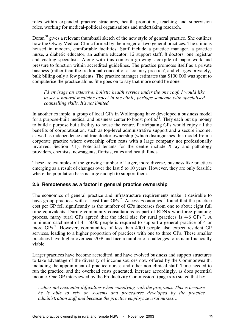roles within expanded practice structures, health promotion, teaching and supervision roles, working for medical-political organisations and undertaking research.

Doran<sup>30</sup> gives a relevant thumbnail sketch of the new style of general practice. She outlines how the Otway Medical Clinic formed by the merger of two general practices. The clinic is housed in modern, comfortable facilities. Staff include a practice manager, a practice nurse, a diabetic educator, an asthma educator, 12 support staff, 8 doctors, one registrar and visiting specialists. Along with this comes a growing stockpile of paper work and pressure to function within accredited guidelines. The practice promotes itself as a private business (rather than the traditional concept of a 'country practice', and charges privately, bulk billing only a few patients. The practice manager estimates that \$100 000 was spent to computerise the practice alone. She goes on to say that more could be done.

*I'd envisage an extensive, holistic health service under the one roof. I would like to see a natural medicine aspect in the clinic, perhaps someone with specialised counselling skills. It's not limited.*

In another example, a group of local GPs in Wollongong have developed a business model for a purpose-built medical and business center to boost profits<sup>31</sup>. They each put up money to build a purpose built facility to house the centre. Participating GPs would enjoy all the benefits of corporatisation, such as top-level administrative support and a secure income, as well as independence and true doctor ownership (which distinguishes this model from a corporate practice where ownership often rests with a large company not professionally involved, Section 7.1). Potential tenants for the centre include X-ray and pathology providers, chemists, newsagents, florists, cafes and health funds.

These are examples of the growing number of larger, more diverse, business like practices emerging as a result of changes over the last 5 to 10 years. However, they are only feasible where the population base is large enough to support them.

### **2.6 Remoteness as a factor in general practice ownership**

The economics of general practice and infrastructure requirements make it desirable to have group practices with at least four GPs<sup>32</sup>. Access Economics<sup>33</sup> found that the practice cost per GP fell significantly as the number of GPs increases from one to about eight full time equivalents. During community consultations as part of RDN's workforce planning process, many rural GPs agreed that the ideal size for rural practices is 4-6 GPs<sup>14</sup>. A minimum catchment of 4 - 5000 people is required to support a general practice of 4 or more GPs<sup>32</sup>. However, communities of less than 4000 people also expect resident GP services, leading to a higher proportion of practices with one to three GPs. These smaller practices have higher overheads/GP and face a number of challenges to remain financially viable.

Larger practices have become accredited, and have evolved business and support structures to take advantage of the diversity of income sources now offered by the Commonwealth, including the appointment of practice nurses and other non-clinical staff. Time needed to run the practice, and the overhead costs generated, increase accordingly, as does potential income. One GP interviewed by the Productivity Commission<sup>7</sup> (page xix) stated that he:

*…does not encounter difficulties when complying with the programs. This is because he is able to rely on systems and procedures developed by the practice administration staff and because the practice employs several nurses…*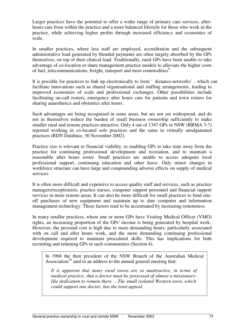Larger practices have the potential to offer a wider range of primary care services, afterhours care from within the practice and a more balanced lifestyle for those who work in the practice, while achieving higher profits through increased efficiency and economies of scale.

In smaller practices, where less staff are employed, accreditation and the subsequent administrative load generated by blended payments are often largely absorbed by the GPs themselves, on top of their clinical load*.* Traditionally, rural GPs have been unable to take advantage of co-location or share management practice models to alleviate the higher costs of fuel, telecommunications, freight, transport and most commodities 6 .

It is possible for practices to link up electronically to form 'distance-networks', which can facilitate innovations such as shared organisational and staffing arrangements, leading to improved economies of scale and professional exchanges. Other possibilities include facilitating on-call rosters, emergency after hours care for patients and town rosters for sharing anaesthetics and obstetrics after hours.

Such advantages are being recognised in some areas, but are not yet widespread, and do not in themselves reduce the burden of small business ownership sufficiently to make smaller rural and remote practices attractive. Only 4 out of 1347 GPs in NSW (RRMA 3-7) reported working in co-located solo practices and the same in virtually amalgamated practices (RDN Database, 30 November 2002).

Practice size is relevant to financial viability, to enabling GPs to take time away from the practice for continuing professional development and recreation, and to maintain a reasonable after hours roster. Small practices are unable to access adequate local professional support, continuing education and other leave. Only minor changes in workforce structure can have large and compounding adverse effects on supply of medical services.

It is often more difficult and expensive to access quality staff and services, such as practice managers/receptionists, practice nurses, computer support personnel and financial support services in more remote areas. It can also be more difficult for small practices to fund oneoff purchases of new equipment and maintain up to date computer and information management technology. These factors tend to be accentuated by increasing remoteness.

In many smaller practices, where one or more GPs have Visiting Medical Officer (VMO) rights, an increasing proportion of the GPs' income is being generated by hospital work. However, the personal cost is high due to more demanding hours, particularly associated with on call and after hours work, and the more demanding continuing professional development required to maintain procedural skills. This has implications for both recruiting and retaining GPs in such communities (Section 4).

In 1968 the then president of the NSW Branch of the Australian Medical Association<sup>34</sup> said in an address to the annual general meeting that:

*It is apparent that many rural towns are so unattractive, in terms of medical practice, that a doctor must be possessed of almost a missionarylike dedication to remain there. …The small isolated Western town, which could support one doctor, has the least appeal*.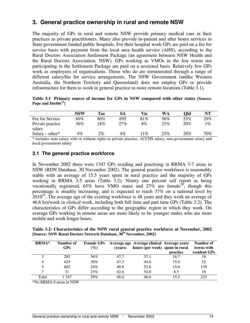# **3. General practice ownership in rural and remote NSW**

The majority of GPs in rural and remote NSW provide primary medical care in their practices as private practitioners. Many also provide in-patient and after hours services in State government funded public hospitals. For their hospital work GPs are paid on a fee for service basis with payment from the local area health service (AHS), according to the Rural Doctors Association Settlement Package (an agreement between NSW Health and the Rural Doctors Association, NSW). GPs working as VMOs in the few towns not participating in the Settlement Package are paid on a sessional basis. Relatively few GPs work as employees of organisations. Those who do are remunerated through a range of different salary/fee for service arrangements. The NSW Government (unlike Western Australia, the Northern Territory and Queensland) does not employ GPs or provide infrastructure for them to work in general practice in more remote locations (Table 3.1).

|                           |  |  |  | Table 3.1 Primary source of income for GPs in NSW compared with other states [Source: |  |  |
|---------------------------|--|--|--|---------------------------------------------------------------------------------------|--|--|
| Pope and Deeble $^{12}$ ] |  |  |  |                                                                                       |  |  |

|                                                         | NSW     | Tas                         | <b>SA</b> | Vic     | WA     | Old | NT     |
|---------------------------------------------------------|---------|-----------------------------|-----------|---------|--------|-----|--------|
| Fee for Service                                         | 60%     | $80\%$                      | 695       | 81%     | 56%    | 53% | 29%    |
| Private practice<br>salary                              | 36%     | 8%                          | 27%       | 8%      | $21\%$ | 20% | $\%$   |
| $Salary - other*$                                       | 4%      | 2%                          | $4\%$     | $1\%$   | 23%    | 28% | $70\%$ |
| $\mathbf{a}$ , and $\mathbf{a}$ , and $\mathbf{a}$<br>. | $\cdot$ | $\sim$ $\sim$ $\sim$ $\sim$ |           | 1.01110 |        |     |        |

\* includes state salary with or without rights to private practice, ACCHS salary, non-government salary and local government salary

### **3.1 The general practice workforce**

In November 2002 there were 1347 GPs residing and practising in RRMA 3-7 areas in NSW (RDN Database, 30 November 2002). The general practice workforce is reasonably stable with an average of 15.5 years spent in rural practice and the majority of GPs working in RRMA 3-5 areas (Table 3.2). Ninety one percent self report as being vocationally registered,  $65\%$  have VMO status and  $27\%$  are female<sup>26</sup>, though this percentage is steadily increasing, and is expected to reach 37% on a national level by  $2010^{27}$ . The average age of the existing workforce is 48 years and they work an average of 46.6 hrs/week in clinical work, including both full time and part time GPs (Table 3.2). The characteristics of GPs differ according to the geographic region in which they work. On average GPs working in remote areas are more likely to be younger males who are more mobile and work longer hours.

**Table 3.2: Characteristics of the NSW rural general practice workforce at November, 2002 [Source: NSW Rural Doctors Network Database, 30th November, 2002]**

| $RRMA*$ | Number of<br><b>GPs</b> | <b>Female GPs</b><br>$(\%)$ | (vears) | Average age Average clinical Average years<br>hours (per week) spent in rural | practice | Number of<br>towns with<br>resident GPs |
|---------|-------------------------|-----------------------------|---------|-------------------------------------------------------------------------------|----------|-----------------------------------------|
|         | 285                     | 36%                         | 47.7    | 37.1                                                                          | 16.7     | 18                                      |
| 4       | 429                     | 30%                         | 47.3    | 44.0                                                                          | 15.0     | 52                                      |
| 5       | 602                     | 24%                         | 48.9    | 52.6                                                                          | 15.6     | 139                                     |
| 7       | 31                      | 23%                         | 42.6    | 54.0                                                                          | 8.5      | 16                                      |
| Total   | 347                     | 29%                         | 48.0    | 46.6                                                                          | 15.5     | 225                                     |

\*No RRMA 6 areas in NSW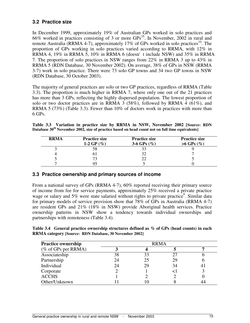# **3.2 Practice size**

In December 1999, approximately 19% of Australian GPs worked in solo practices and 66% worked in practices consisting of 3 or more GPs 35 . In November, 2002 in rural and remote Australia (RRMA 4-7), approximately 17% of GPs worked in solo practices<sup>10</sup>. The proportion of GPs working in solo practices varied according to RRMA, with 12% in RRMA 4, 19% in RRMA 5, 10% in RRMA 6 (doesn't include NSW) and 35% in RRMA 7. The proportion of solo practices in NSW ranges from 22% in RRMA 3 up to 43% in RRMA 5 (RDN Database, 30 November 2002). On average, 38% of GPs in NSW (RRMA 3-7) work in solo practice. There were 73 solo GP towns and 34 two GP towns in NSW (RDN Database, 30 October 2003).

The majority of general practices are solo or two GP practices, regardless of RRMA (Table 3.3). The proportion is much higher in RRMA 7, where only one out of the 21 practices has more than 3 GPs, reflecting the highly dispersed population. The lowest proportion of solo or two doctor practices are in RRMA 3 (58%), followed by RRMA 4 (61%), and RRMA 5 (73%) (Table 3.3). Fewer than 10% of doctors work in practices with more than 6 GPs.

**Table 3.3 Variation in practice size by RRMA in NSW, November 2002 [Source: RDN Database 30th November 2002, size of practice based on head count not on full time equivalents]**

| <b>RRMA</b> | <b>Practice size</b><br>1-2 GP $(\%)$ | <b>Practice size</b><br>3-6 GPs $(\%)$ | <b>Practice size</b><br>$>6$ GPs $(\%)$ |
|-------------|---------------------------------------|----------------------------------------|-----------------------------------------|
|             |                                       |                                        |                                         |
|             | U.                                    |                                        |                                         |
|             |                                       |                                        |                                         |
|             |                                       |                                        |                                         |

### **3.3 Practice ownership and primary sources of income**

From a national survey of GPs (RRMA 4-7), 60% reported receiving their primary source of income from fee for service payments, approximately 25% received a private practice wage or salary and 5% were state salaried without rights to private practice<sup>9</sup>. Similar data for primary models of service provision show that 78% of GPs in Australia (RRMA 4-7) are resident GPs and 21% (18% in NSW) provide Aboriginal health services. Practice ownership patterns in NSW show a tendency towards individual ownerships and partnerships with remoteness (Table 3.4).

**Table 3.4 General practice ownership structures defined as % of GPs (head counts) in each RRMA category [Source: RDN Database, 30 November 2002]**

| <b>Practice ownership</b> |    | <b>RRMA</b> |    |                |
|---------------------------|----|-------------|----|----------------|
| ( $%$ of GPs per RRMA)    |    |             |    |                |
| Associateship             | 38 | 33          | 27 |                |
| Partnership               | 24 | 25          | 29 |                |
| Individual                | 24 | 29          | 34 | 4 <sub>1</sub> |
| Corporate                 |    |             |    |                |
| <b>ACCHS</b>              |    |             |    |                |
| Other/Unknown             |    |             |    |                |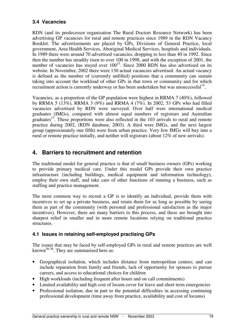# **3.4 Vacancies**

RDN (and its predecessor organisation The Rural Doctors Resource Network) has been advertising GP vacancies for rural and remote practices since 1989 in the RDN Vacancy Booklet. The advertisements are placed by GPs, Divisions of General Practice, local government, Area Health Services, Aboriginal Medical Services, hospitals and individuals. In 1989 there were around 70 advertised vacancies, dropping to less than 40 in 1992. Since then the number has steadily risen to over 100 in 1998, and with the exception of 2001, the number of vacancies has stayed over  $100^{13}$ . Since 2000 RDN has also advertised on its website. In November, 2002 there were 130 actual vacancies advertised. An actual vacancy is defined as the number of (currently unfilled) positions that a community can sustain taking into account the workload of other GPs in that town or community and for which recruitment action is currently underway or has been undertaken but was unsuccessful<sup>14</sup>.

Vacancies, as a proportion of the GP population were highest in RRMA 7 (40%), followed by RRMA 5 (13%), RRMA 3 (9%) and RRMA 4 (7%). In 2002, 53 GPs who had filled vacancies advertised by RDN were surveyed. Over half were international medical graduates (IMGs), compared with almost equal numbers of registrars and Australian graduates<sup>13</sup>. These proportions were also reflected in the 103 arrivals to rural and remote practice during 2002, (RDN database, 2003). A third were IMGs, and the next largest group (approximately one fifth) were from urban practice. Very few IMGs will buy into a rural or remote practice initially, and neither will registrars (about 12% of new arrivals).

# **4. Barriers to recruitment and retention**

The traditional model for general practice is that of small business owners (GPs) working to provide primary medical care. Under this model GPs provide their own practice infrastructure (including buildings, medical equipment and information technology), employ their own staff, and take care of other functions of running a business, such as staffing and practice management.

The most common way to recruit a GP is to identify an individual, provide them with incentives to set up a private business, and retain them for as long as possible by seeing them as part of the community (with personal and professional satisfaction as the major incentives). However, there are many barriers to this process, and these are brought into sharpest relief in smaller and in more remote locations relying on traditional practice structures.

# **4.1 Issues in retaining self-employed practising GPs**

The issues that may be faced by self-employed GPs in rural and remote practices are well known<sup>36-38</sup>. They are summarised here as:

- Geographical isolation, which includes distance from metropolitan centres; and can include separation from family and friends, lack of opportunity for spouses to pursue careers, and access to educational choices for children
- High workloads (including frequent after hours and on call commitments)
- Limited availability and high cost of locum cover for leave and short term emergencies
- Professional isolation, due in part to the potential difficulties in accessing continuing professional development (time away from practice, availability and cost of locums)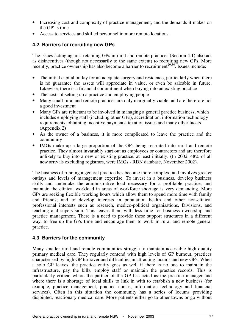- Increasing cost and complexity of practice management, and the demands it makes on the GP's time
- Access to services and skilled personnel in more remote locations.

# **4.2 Barriers for recruiting new GPs**

The issues acting against retaining GPs in rural and remote practices (Section 4.1) also act as disincentives (though not necessarily to the same extent) to recruiting new GPs. More recently, practice ownership has also become a barrier to recruitment<sup>29,39</sup>. Issues include:

- The initial capital outlay for an adequate surgery and residence, particularly when there is no guarantee the assets will appreciate in value, or even be saleable in future. Likewise, there is a financial commitment when buying into an existing practice
- The costs of setting up a practice and employing people
- Many small rural and remote practices are only marginally viable, and are therefore not a good investment
- Many GPs are reluctant to be involved in managing a general practice business, which includes employing staff (including other GPs), accreditation, information technology requirements, obtaining incentive payments, taxation issues and many other facets (Appendix 2)
- As the owner of a business, it is more complicated to leave the practice and the community
- IMGs make up a large proportion of the GPs being recruited into rural and remote practice. They almost invariably start out as employees or contractors and are therefore unlikely to buy into a new or existing practice, at least initially. (In 2002, 48% of all new arrivals excluding registrars, were IMGs - RDN database, November 2002).

The business of running a general practice has become more complex, and involves greater outlays and levels of management expertise. To invest in a business, develop business skills and undertake the administrative load necessary for a profitable practice, and maintain the clinical workload in areas of workforce shortage is very demanding. More GPs are seeking flexible working hours which allow them to spend more time with family and friends; and to develop interests in population health and other non-clinical professional interests such as research, medico-political organisations, Divisions, and teaching and supervision. This leaves them with less time for business ownership and practice management. There is a need to provide these support structures in a different way, to free up the GPs time and encourage them to work in rural and remote general practice.

## **4.3 Barriers for the community**

Many smaller rural and remote communities struggle to maintain accessible high quality primary medical care. They regularly contend with high levels of GP burnout, practices characterised by high GP turnover and difficulties in attracting locums and new GPs. When a solo GP leaves, the practice entity goes as well if there is no one to maintain the infrastructure, pay the bills, employ staff or maintain the practice records. This is particularly critical where the partner of the GP has acted as the practice manager and where there is a shortage of local skills to link in with to establish a new business (for example, practice management, practice nurses, information technology and financial services). Often in this situation the community has a series of locums providing disjointed, reactionary medical care. More patients either go to other towns or go without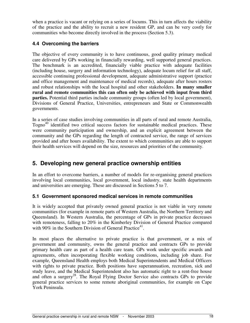when a practice is vacant or relying on a series of locums. This in turn affects the viability of the practice and the ability to recruit a new resident GP, and can be very costly for communities who become directly involved in the process (Section 5.3).

# **4.4 Overcoming the barriers**

The objective of every community is to have continuous, good quality primary medical care delivered by GPs working in financially rewarding, well supported general practices. The benchmark is an accredited, financially viable practice with adequate facilities (including house, surgery and information technology), adequate locum relief for all staff, accessible continuing professional development, adequate administrative support (practice and office management and maintenance of medical records), adequate after hours rosters and robust relationships with the local hospital and other stakeholders. **In many smaller rural and remote communities this can often only be achieved with input from third parties.** Potential third parties include community groups (often led by local government), Divisions of General Practice, Universities, entrepreneurs and State or Commonwealth governments.

In a series of case studies involving communities in all parts of rural and remote Australia,  $Togno<sup>40</sup>$  identified two critical success factors for sustainable medical practices. These were community participation and ownership, and an explicit agreement between the community and the GPs regarding the length of contracted service, the range of services provided and after hours availability. The extent to which communities are able to support their health services will depend on the size, resources and priorities of the community.

# **5. Developing new general practice ownership entities**

In an effort to overcome barriers, a number of models for re-organising general practices involving local communities, local government, local industry, state health departments and universities are emerging. These are discussed in Sections 5 to 7.

## **5.1 Government sponsored medical services in remote communities**

It is widely accepted that privately owned general practice is not viable in very remote communities (for example in remote parts of Western Australia, the Northern Territory and Queensland). In Western Australia, the percentage of GPs in private practice decreases with remoteness, falling to 20% in the Kimberley Division of General Practice compared with 90% in the Southern Division of General Practice<sup>41</sup>.

In most places the alternative to private practice is that government, or a mix of government and community, owns the general practice and contracts GPs to provide primary health care as part of a health care team. GPs work under specific awards and agreements, often incorporating flexible working conditions, including job share. For example, Queensland Health employs both Medical Superintendents and Medical Officers with rights to private practice. Both positions have superannuation, recreation, sick and study leave, and the Medical Superintendent also has automatic right to a rent-free house and often a surgery<sup>28</sup>. The Royal Flying Doctor Service also contracts GPs to provide general practice services to some remote aboriginal communities, for example on Cape York Peninsula.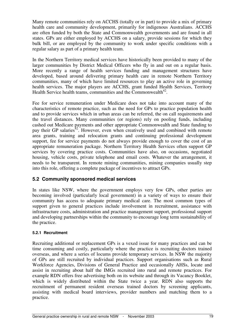Many remote communities rely on ACCHS (totally or in part) to provide a mix of primary health care and community development, primarily for indigenous Australians. ACCHS are often funded by both the State and Commonwealth governments and are found in all states. GPs are either employed by ACCHS on a salary, provide sessions for which they bulk bill, or are employed by the community to work under specific conditions with a regular salary as part of a primary health team.

In the Northern Territory medical services have historically been provided to many of the larger communities by District Medical Officers who fly in and out on a regular basis. More recently a range of health services funding and management structures have developed, based around delivering primary health care in remote Northern Territory communities, many of which have limited resources to play an active role in governing health services. The major players are ACCHS, grant funded Health Services, Territory Health Service health teams, communities and the Commonwealth<sup>42</sup>.

Fee for service remuneration under Medicare does not take into account many of the characteristics of remote practice, such as the need for GPs to practice population health and to provide services which in urban areas can be referred, the on call requirements and the travel distances. Many communities (or regions) rely on pooling funds, including cashed out Medicare payments and other appropriate Commonwealth and State funding to pay their GP salaries<sup>42</sup>. However, even when creatively used and combined with remote area grants, training and relocation grants and continuing professional development support, fee for service payments do not always provide enough to cover the cost of an appropriate remuneration package. Northern Territory Health Services often support GP services by covering practice costs. Communities have also, on occasions, negotiated housing, vehicle costs, private telephone and email costs. Whatever the arrangement, it needs to be transparent. In remote mining communities, mining companies usually step into this role, offering a complete package of incentives to attract GPs.

## **5.2 Community sponsored medical services**

In states like NSW, where the government employs very few GPs, other parties are becoming involved (particularly local government) in a variety of ways to ensure their community has access to adequate primary medical care. The most common types of support given to general practices include involvement in recruitment, assistance with infrastructure costs, administration and practice management support, professional support and developing partnerships within the community to encourage long term sustainability of the practice.

#### **5.2.1 Recruitment**

Recruiting additional or replacement GPs is a vexed issue for many practices and can be time consuming and costly, particularly where the practice is recruiting doctors trained overseas, and where a series of locums provide temporary services. In NSW the majority of GPs are still recruited by individual practices. Support organisations such as Rural Workforce Agencies, Divisions of General Practice and occasionally AHSs, locate and assist in recruiting about half the IMGs recruited into rural and remote practices. For example RDN offers free advertising both on its website and through its Vacancy Booklet, which is widely distributed within the State twice a year. RDN also supports the recruitment of permanent resident overseas trained doctors by screening applicants, assisting with medical board interviews, provider numbers and matching them to a practice.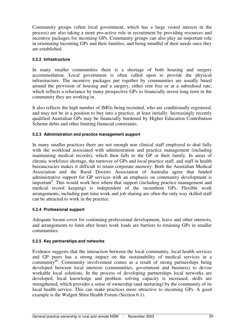Community groups (often local government, which has a large vested interest in the process) are also taking a more pro-active role in recruitment by providing resources and incentive packages for incoming GPs. Community groups can also play an important role in orientating incoming GPs and their families, and being mindful of their needs once they are established.

#### **5.2.2 Infrastructure**

In many smaller communities there is a shortage of both housing and surgery accommodation. Local government is often called upon to provide the physical infrastructure. The incentive packages put together by communities are usually based around the provision of housing and a surgery, either rent free or at a subsidised rate, which reflects a reluctance by many prospective GPs to financially invest long term in the community they are working in.

It also reflects the high number of IMGs being recruited, who are conditionally registered, and may not be in a position to buy into a practice, at least initially. Increasingly recently qualified Australian GPs may be financially burdened by Higher Education Contribution Scheme debts and other limiting financial constraints.

#### **5.2.3 Administration and practice management support**

In many smaller practices there are not enough non clinical staff employed to deal fully with the workload associated with administration and practice management (including maintaining medical records), which then falls to the GP or their family. In areas of chronic workforce shortage, the turnover of GPs and local practice staff, and staff in health bureaucracies makes it difficult to retain corporate memory. Both the Australian Medical Association and the Rural Doctors Association of Australia agree that funded administrative support for GP services with an emphasis on community development is important<sup>5</sup>. This would work best where that support (including practice management and medical record keeping) is independent of the incumbent GPs. Flexible work arrangements, including part time work and job sharing are often the only way skilled staff can be attracted to work in the practice.

#### **5.2.4 Professional support**

Adequate locum cover for continuing professional development, leave and other interests, and arrangements to limit after hours work loads are barriers to retaining GPs in smaller communities.

#### **5.2.5 Key partnerships and networks**

Evidence suggests that the interaction between the local community, local health services and GP peers has a strong impact on the sustainability of medical services in a community<sup>40</sup>. Community involvement comes as a result of strong partnerships being developed between local interests (communities, government and business) to devise workable local solutions. In the process of developing partnerships local networks are developed, local knowledge and problem solving capacity is increased, skills are strengthened, which provides a sense of ownership (and nurturing) by the community of its local health service. This can make practices more attractive to incoming GPs. A good example is the Walgett Shire Health Forum (Section 6.1).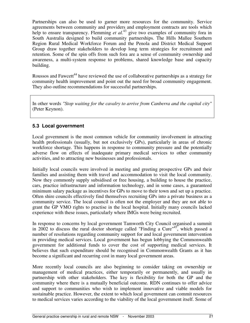Partnerships can also be used to garner more resources for the community. Service agreements between community and providers and employment contracts are tools which help to ensure transparency. Flemming *et al.*<sup>43</sup> give two examples of community fora in South Australia designed to build community partnerships. The Hills Mallee Southern Region Rural Medical Workforce Forum and the Penola and District Medical Support Group draw together stakeholders to develop long term strategies for recruitment and retention. Some of the spin offs from such fora are a sense of community ownership and awareness, a multi-system response to problems, shared knowledge base and capacity building.

Roussos and Fawcett<sup>44</sup> have reviewed the use of collaborative partnerships as a strategy for community health improvement and point out the need for broad community engagement. They also outline recommendations for successful partnerships.

In other words *"Stop waiting for the cavalry to arrive from Canberra and the capital city"* (Peter Keynon).

## **5.3 Local government**

Local government is the most common vehicle for community involvement in attracting health professionals (usually, but not exclusively GPs), particularly in areas of chronic workforce shortage. This happens in response to community pressure and the potentially adverse flow on effects of inadequate primary medical services to other community activities, and to attracting new businesses and professionals.

Initially local councils were involved in meeting and greeting prospective GPs and their families and assisting them with travel and accommodation to visit the local community. Now they commonly supply subsidised or free housing, a building to house the practice, cars, practice infrastructure and information technology, and in some cases, a guaranteed minimum salary package as incentives for GPs to move to their town and set up a practice. Often shire councils effectively find themselves recruiting GPs into a private business as a community service. The local council is often not the employer and they are not able to grant the GP VMO rights to practise in the local hospital. Initially many councils lacked experience with these issues, particularly where IMGs were being recruited.

In response to concerns by local government Tamworth City Council organised a summit in 2002 to discuss the rural doctor shortage called "Finding a Cure"<sup>45</sup>, which passed a number of resolutions regarding community support for and local government intervention in providing medical services. Local government has begun lobbying the Commonwealth government for additional funds to cover the cost of supporting medical services. It believes that such expenditure should be recognised in Commonwealth Grants as it has become a significant and recurring cost in many local government areas.

More recently local councils are also beginning to consider taking on ownership or management of medical practices, either temporarily or permanently, and usually in partnership with other stakeholders. The key is flexibility for both the GP and the community where there is a mutually beneficial outcome. RDN continues to offer advice and support to communities who wish to implement innovative and viable models for sustainable practice. However, the extent to which local government can commit resources to medical services varies according to the viability of the local government itself. Some of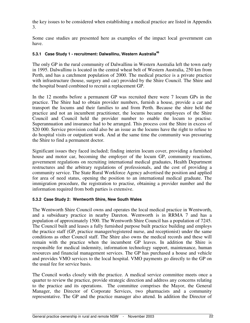the key issues to be considered when establishing a medical practice are listed in Appendix 3.

Some case studies are presented here as examples of the impact local government can have.

#### **5.3.1 Case Study 1 - recruitment: Dalwallinu, Western Australia 46**

The only GP in the rural community of Dalwallinu in Western Australia left the town early in 1995. Dalwallinu is located in the central wheat belt of Western Australia, 250 km from Perth, and has a catchment population of 2000. The medical practice is a private practice with infrastructure (house, surgery and car) provided by the Shire Council. The Shire and the hospital board combined to recruit a replacement GP.

In the 12 months before a permanent GP was recruited there were 7 locum GPs in the practice. The Shire had to obtain provider numbers, furnish a house, provide a car and transport the locums and their families to and from Perth. Because the shire held the practice and not an incumbent practitioner, the locums became employees of the Shire Council and Council held the provider number to enable the locum to practise. Superannuation and insurance had to be arranged. This process cost the Shire in excess of \$20 000. Service provision could also be an issue as the locums have the right to refuse to do hospital visits or outpatient work. And at the same time the community was pressuring the Shire to find a permanent doctor.

Significant issues they faced included; finding interim locum cover, providing a furnished house and motor car, becoming the employer of the locum GP, community reactions, government regulations on recruiting international medical graduates, Health Department restructures and the arbitrary regulations of professionals, and the cost of providing a community service. The State Rural Workforce Agency advertised the position and applied for area of need status, opening the position to an international medical graduate. The immigration procedure, the registration to practise, obtaining a provider number and the information required from both parties is extensive.

### **5.3.2 Case Study 2: Wentworth Shire, New South Wales**

The Wentworth Shire Council owns and operates the local medical practice in Wentworth, and a subsiduary practice in nearby Dareton. Wentworth is in RRMA 7 and has a population of approximately 1500. The Wentworth Shire Council has a population of 7245. The Council built and leases a fully furnished purpose built practice building and employs the practice staff (GP, practice manager/registered nurse, and receptionist) under the same conditions as other Council staff. The Shire also owns the medical records and these will remain with the practice when the incumbent GP leaves. In addition the Shire is responsible for medical indemnity, information technology support, maintenance, human resources and financial management services. The GP has purchased a house and vehicle and provides VMO services to the local hospital. VMO payments go directly to the GP on the usual fee for service basis.

The Council works closely with the practice. A medical service committee meets once a quarter to review the practice, provide strategic direction and address any concerns relating to the practice and its operations. The committee comprises the Mayor, the General Manager, the Director of Corporate Services, two pharmacists and a community representative. The GP and the practice manager also attend. In addition the Director of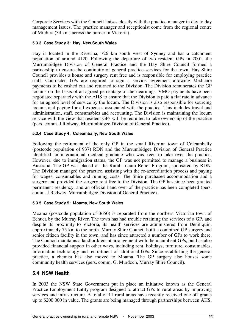Corporate Services with the Council liaises closely with the practice manager in day to day management issues. The practice manager and receptionist come from the regional centre of Mildura (34 kms across the border in Victoria).

#### **5.3.3 Case Study 3: Hay, New South Wales**

Hay is located in the Riverina, 726 km south west of Sydney and has a catchment population of around 4120. Following the departure of two resident GPs in 2001, the Murrumbidgee Division of General Practice and the Hay Shire Council formed a partnership to ensure the continuity of general practice services for the town. Hay Shire Council provides a house and surgery rent free and is responsible for employing practice staff. Contracted GPs are required to sign a service agreement allowing Medicare payments to be cashed out and returned to the Division. The Division remunerates the GP locums on the basis of an agreed percentage of their earnings. VMO payments have been negotiated separately with the AHS to ensure that the Division is paid a flat rate in advance for an agreed level of service by the locum. The Division is also responsible for sourcing locums and paying for all expenses associated with the practice. This includes travel and administration, staff, consumables and accounting. The Division is maintaining the locum service with the view that resident GPs will be recruited to take ownership of the practice (pers. comm. J Redway, Murrumbidgee Division of General Practice).

#### **5.3.4 Case Study 4: Coleambally, New South Wales**

Following the retirement of the only GP in the small Riverina town of Coleambally (postcode population of 937) RDN and the Murrumbidgee Division of General Practice identified an international medical graduate who was keen to take over the practice. However, due to immigration status, the GP was not permitted to manage a business in Australia. The GP was placed on the Rural Locum Relief Program, sponsored by RDN. The Division managed the practice, assisting with the re-accreditation process and paying for wages, consumables and running costs. The Shire purchased accommodation and a surgery and provided the surgery rent free to the Division. The GP has since been granted permanent residency, and an official hand over of the practice has been completed (pers. comm. J Redway, Murrumbidgee Division of General Practice).

#### **5.3.5 Case Study 5: Moama, New South Wales**

Moama (postcode population of 3650) is separated from the northern Victorian town of Echuca by the Murray River. The town has had trouble retaining the services of a GP, and despite its proximity to Victoria, its health services are administered from Deniliquin, approximately 75 km to the north. Murray Shire Council built a combined GP surgery and senior citizen facility in the town, and has since attracted a number of GPs to work there. The Council maintains a landlord/tenant arrangement with the incumbent GPs, but has also provided financial support in other ways, including rent, holidays, furniture, consumables, information technology and recruitment of additional GPs. Since establishing the general practice, a chemist has also moved to Moama. The GP surgery also houses some community health services (pers. comm. G. Murdoch, Murray Shire Council).

## **5.4 NSW Health**

In 2003 the NSW State Government put in place an initiative known as the General Practice Employment Entity program designed to attract GPs to rural areas by improving services and infrastructure. A total of 11 rural areas have recently received one off grants up to \$200 000 in value. The grants are being managed through partnerships between AHS,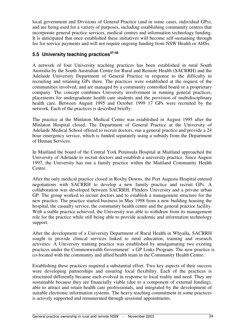local government and Divisions of General Practice (and in some cases, individual GPs), and are being used for a variety of purposes, including establishing community centres that incorporate general practice services, medical centres and information technology funding. It is anticipated that once established these initiatives will become self-sustaining through fee for service payments and will not require ongoing funding from NSW Health or AHSs.

# **5.5 University teaching practices 47-48**

A network of four University teaching practices has been established in rural South Australia by the South Australian Centre for Rural and Remote Health (SACRRH) and the Adelaide University Department of General Practice in response to the difficulty in recruiting and retaining GPs there. The practices were established at the request of the communities involved, and are managed by a community controlled board or a proprietary company. The concept combines University involvement in running general practices, placements for undergraduate health care students and the provision of multidisciplinary health care. Between August 1995 and October 1999 17 GPs were recruited by the network. Each of the practices is described briefly:

The practice at the Minlaton Medical Centre was established in August 1995 after the Minlaton Hospital closed. The Department of General Practice at the University of Adelaide Medical School offered to recruit doctors, run a general practice and provide a 24 hour emergency service, which is funded separately using a subsidy from the Department of Human Services.

In Maitland the board of the Central York Peninsula Hospital at Maitland approached the University of Adelaide to recruit doctors and establish a university practice. Since August 1997, the University has run a family practice within the Maitland Community Health Centre.

After the only medical practice closed in Roxby Downs, the Port Augusta Hospital entered negotiations with SACRRH to develop a new family practice and recruit GPs. A collaboration was developed between SACRRH, Flinders University and a private urban GP. The group worked to recruit doctors and to establish a management structure for the new practice. The practice started business in May 1998 from a new building housing the hospital, the casualty service, the community health centre and the general practice facility. With a stable practice achieved, the University was able to withdraw from its management role for the practice while still being able to provide academic and information technology support.

After the development of a University Department of Rural Health in Whyalla, SACRRH sought to provide clinical services linked to rural education, training and research activities. A University training practice was established by amalgamating two existing practices under the Commonwealth Government's GP Links Program. The new practice is co-located with the community and allied health team in the Community Health Centre.

Establishing these practices required a substantial effort. Two key aspects of their success were developing partnerships and ensuring local flexibility. Each of the practices is structured differently because each evolved in response to local reality and need. They are sustainable because they are financially viable (due to a component of external funding), able to attract and retain health care professionals, and integrated by the development of suitable electronic information systems. The heavy teaching commitment in some practices is actively supported and remunerated through sessional appointments.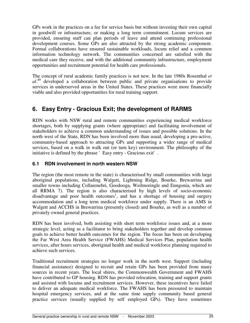GPs work in the practices on a fee for service basis but without investing their own capital in goodwill or infrastructure, or making a long term commitment. Locum services are provided, ensuring staff can plan periods of leave and attend continuing professional development courses. Some GPs are also attracted by the strong academic component. Formal collaborations have ensured sustainable workloads, locum relief and a common information technology network. The communities concerned are satisfied with the medical care they receive, and with the additional community infrastructure, employment opportunities and recruitment potential for health care professionals.

The concept of rural academic family practices is not new. In the late 1980s Rosenthal *et* al.<sup>49</sup> developed a collaboration between public and private organisations to provide services in underserved areas in the United States. These practices were more financially viable and also provided opportunities for rural training support.

# **6. Easy Entry - Gracious Exit; the development of RARMS**

RDN works with NSW rural and remote communities experiencing medical workforce shortages, both by supplying grants (where appropriate) and facilitating involvement of stakeholders to achieve a common understanding of issues and possible solutions. In the north west of the State, RDN has been involved more than usual, developing a pro-active, community-based approach to attracting GPs and supporting a wider range of medical services, based on a walk in walk out (or turn key) environment. The philosophy of the initiative is defined by the phrase 'Easy entry - Gracious exit'.

## **6.1 RDN involvement in north western NSW**

The region (the most remote in the state) is characterised by small communities with large aboriginal populations, including Walgett, Lightning Ridge, Bourke, Brewarrina and smaller towns including Collarenebri, Goodooga, Weilmoringle and Enngonia, which are all RRMA 7). The region is also characterised by high levels of socio-economic disadvantage and poor health outcomes<sup>1</sup>, and has a shortage of housing and surgery accommodation and a long term medical workforce under supply. There is an AMS in Walgett and ACCHS in Brewarrina (presently closed) and Bourke, as well as a number of privately owned general practices.

RDN has been involved, both assisting with short term workforce issues and, at a more strategic level, acting as a facilitator to bring stakeholders together and develop common goals to achieve better health outcomes for the region. The focus has been on developing the Far West Area Health Service (FWAHS) Medical Services Plan, population health services, after hours services, aboriginal health and medical workforce planning required to achieve such services.

Traditional recruitment strategies no longer work in the north west. Support (including financial assistance) designed to recruit and retain GPs has been provided from many sources in recent years. The local shires, the Commonwealth Government and FWAHS have contributed to GP housing. RDN has provided relocation, training and support grants and assisted with locums and recruitment services. However, these incentives have failed to deliver an adequate medical workforce. The FWAHS has been pressured to maintain hospital emergency services, and at the same time supply community based general practice services (usually supplied by self employed GPs). They have sometimes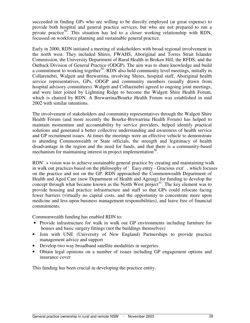succeeded in finding GPs who are willing to be directly employed (at great expense) to provide both hospital and general practice services, but who are not prepared to run a private practice<sup>50</sup>. This situation has led to a closer working relationship with RDN, focussed on workforce planning and sustainable general practice.

Early in 2000, RDN initiated a meeting of stakeholders with broad regional involvement in the north west. They included Shires, FWAHS, Aboriginal and Torres Strait Islander Commission, the University Department of Rural Health in Broken Hill, the RFDS, and the Outback Division of General Practice (ODGP). The aim was to share knowledge and build a commitment to working together<sup>50</sup>. RDN also held community level meetings, initially in Collarenebri, Walgett and Brewarrina, involving Shires, hospital staff, Aboriginal health service representatives, GPs, ODGP and community members (usually drawn from hospital advisory committees). Walgett and Collarenebri agreed to ongoing joint meetings, and were later joined by Lightning Ridge to become the Walgett Shire Health Forum, which is chaired by RDN. A Brewarrina/Bourke Health Forum was established in mid 2002 with similar intentions.

The involvement of stakeholders and community representatives through the Walgett Shire Health Forum (and more recently the Bourke-Brewarrina Health Forum) has helped to maintain momentum and accountability by service providers, helped identify practical solutions and generated a better collective understanding and awareness of health service and GP recruitment issues. At times the meetings were an effective vehicle to demonstrate to attending Commonwealth or State officials, the strength and legitimacy of health disadvantage in the region and the need for funds, and that there is a community-based mechanism for maintaining interest in project implementation<sup>50</sup>.

RDN's vision was to achieve sustainable general practice by creating and maintaining walk in walk out practices based on the philosophy of 'Easy entry - Gracious exit', which focuses on the practice and not on the GP. RDN approached the Commonwealth Department of Health and Aged Care (now Department of Health and Ageing) for funding to develop the concept through what became known as the North West project<sup>51</sup>. The key element was to provide housing and practice infrastructure and staff so that GPs could relocate facing fewer barriers (virtually no capital costs, and the opportunity to concentrate more upon medicine and less upon business management responsibilities), and leave free of financial commitments.

Commonwealth funding has enabled RDN to:

- Provide infrastructure for walk in walk out GP environments including furniture for houses and basic surgery fittings (not the buildings themselves)
- Join with UNE (University of New England) Partnerships to provide practice management advice and support
- Develop two way broadband satellite modalities in surgeries
- Obtain legal opinions on a number of issues including GP engagement options and insurance cover

This funding has been crucial in developing the practice entity.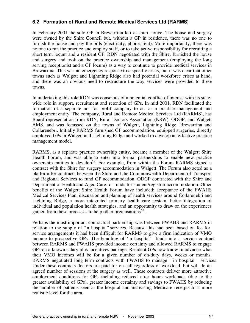# **6.2 Formation of Rural and Remote Medical Services Ltd (RARMS)**

In February 2001 the solo GP in Brewarrina left at short notice. The house and surgery were owned by the Shire Council but, without a GP in residence, there was no one to furnish the house and pay the bills (electricity, phone, rent). More importantly, there was no one to run the practice and employ staff, or to take active responsibility for recruiting a short term locum and a resident GP. RDN negotiated with the Shire, furnished the house and surgery and took on the practice ownership and management (employing the long serving receptionist and a GP locum) as a way to continue to provide medical services in Brewarrina. This was an emergency response to a specific crisis, but it was clear that other towns such as Walgett and Lightning Ridge also had potential workforce crises at hand, and there was an obvious need to restructure the way services were provided to these towns.

In undertaking this role RDN was conscious of a potential conflict of interest with its statewide role in support, recruitment and retention of GPs. In mid 2001, RDN facilitated the formation of a separate not for profit company to act as a practice management and employment entity. The company, Rural and Remote Medical Services Ltd (RARMS), has Board representation from RDN, Rural Doctors Association (NSW), ODGP, and Walgett AMS, and was focussed on the towns of Walgett, Lightning Ridge, Brewarrina and Collarenebri. Initially RARMS furnished GP accommodation, equipped surgeries, directly employed GPs in Walgett and Lightning Ridge and worked to develop an effective practice management model.

RARMS, as a separate practice ownership entity, became a member of the Walgett Shire Health Forum, and was able to enter into formal partnerships to enable new practice ownership entities to develop<sup>52</sup>. For example, from within the Forum RARMS signed a contract with the Shire for surgery accommodation in Walgett. The Forum also acted as a platform for contracts between the Shire and the Commonwealth Department of Transport and Regional Services to fund GP accommodation. ODGP contracted with the Shire and Department of Health and Aged Care for funds for student/registrar accommodation. Other benefits of the Walgett Shire Health Forum have included; acceptance of the FWAHS Medical Services Plan, discussion and planning of health services around Collarenebri and Lightning Ridge, a more integrated primary health care system, better integration of individual and population health strategies, and an opportunity to draw on the experiences gained from these processes to help other organisations<sup>52</sup>.

Perhaps the most important contractual partnership was between FWAHS and RARMS in relation to the supply of "in hospital" services. Because this had been based on fee for service arrangements it had been difficult for RARMS to give a firm indication of VMO income to prospective GPs. The bundling of 'in hospital' funds into a service contract between RARMS and FWAHS provided income certainty and allowed RARMS to engage GPs on a known salary plus incentives package. Resident GPs now know in advance what their VMO incomes will be for a given number of on-duty days, weeks or months. RARMS negotiated long term contracts with FWAHS to manage ' in hospital' services. Under these contracts doctors are paid for on call regardless of workload, but will do an agreed number of sessions at the surgery as well. These contracts deliver more attractive employment conditions for GPs including reduced after hours workloads (due to the greater availability of GPs), greater income certainty and savings to FWAHS by reducing the number of patients seen at the hospital and increasing Medicare receipts to a more realistic level for the area.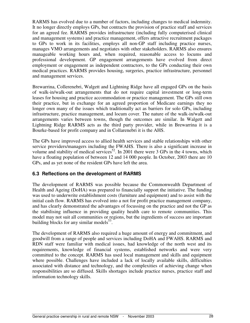RARMS has evolved due to a number of factors, including changes to medical indemnity. It no longer directly employs GPs, but contracts the provision of practice staff and services for an agreed fee. RARMS provides infrastructure (including fully computerised clinical and management systems) and practice management, offers attractive recruitment packages to GPs to work in its facilities, employs all non-GP staff including practice nurses, manages VMO arrangements and negotiates with other stakeholders. RARMS also ensures manageable working hours and, when required, reasonable access to locums and professional development. GP engagement arrangements have evolved from direct employment or engagement as independent contractors, to the GPs conducting their own medical practices. RARMS provides housing, surgeries, practice infrastructure, personnel and management services.

Brewarrina, Collerenebri, Walgett and Lightning Ridge have all engaged GPs on the basis of walk-in/walk-out arrangements that do not require capital investment or long-term leases for housing and practice accommodation or practice management. The GPs still own their practice, but in exchange for an agreed proportion of Medicare earnings they no longer own many of the issues which traditionally act as barriers for solo GPs, including infrastructure, practice management, and locum cover. The nature of the walk-in/walk-out arrangements varies between towns, though the outcomes are similar. In Walgett and Lightning Ridge RARMS acts as the third party provider, while in Brewarrina it is a Bourke-based for profit company and in Collarenebri it is the AHS.

The GPs have improved access to allied health services and stable relationships with other service providers/managers including the FWAHS. There is also a significant increase in volume and stability of medical services<sup>52</sup>. In 2001 there were 3 GPs in the 4 towns, which have a floating population of between 12 and 14 000 people. In October, 2003 there are 10 GPs, and as yet none of the resident GPs have left the area.

### **6.3 Reflections on the development of RARMS**

The development of RARMS was possible because the Commonwealth Department of Health and Ageing (DoHA) was prepared to financially support the initiative. The funding was used to underwrite establishment costs (furniture and equipment) and to assist with the initial cash flow. RARMS has evolved into a not for profit practice management company, and has clearly demonstrated the advantages of focussing on the practice and not the GP as the stabilising influence in providing quality health care to remote communities. This model may not suit all communities or regions, but the ingredients of success are important building blocks for any similar models<sup>53</sup>.

The development of RARMS also required a huge amount of energy and commitment, and goodwill from a range of people and services including DoHA and FWAHS. RARMS and RDN staff were familiar with medical issues, had knowledge of the north west and its requirements, knowledge of financial systems, established networks and were very committed to the concept. RARMS has used local management and skills and equipment where possible. Challenges have included a lack of locally available skills, difficulties associated with distance and technology, and the complexities of achieving change when responsibilities are so diffused. Skills shortages include practice nurses, practice staff and information technology skills.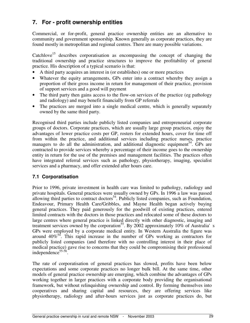# **7. For - profit ownership entities**

Commercial, or for-profit, general practice ownership entities are an alternative to community and government sponsorship. Known generally as corporate practices, they are found mostly in metropolitan and regional centres. There are many possible variations.

Catchlove<sup>15</sup> describes corporatisation as encompassing the concept of changing the traditional ownership and practice structures to improve the profitability of general practice. His description of a typical scenario is that:

- A third party acquires an interest in (or establishes) one or more practices
- Whatever the equity arrangements, GPs enter into a contract whereby they assign a proportion of their gross income in return for management of their practice, provision of support services and a good will payment
- The third party then gains access to the flow-on services of the practice (eg pathology and radiology) and may benefit financially from GP referrals
- The practices are merged into a single medical centre, which is generally separately owned by the same third party.

Recognised third parties include publicly listed companies and entrepreneurial corporate groups of doctors. Corporate practices, which are usually large group practices, enjoy the advantages of lower practice costs per GP, rosters for extended hours, cover for time off from within the practice, and additional services including practice nurses, practice managers to do all the administration, and additional diagnostic equipment<sup>54</sup>. GPs are contracted to provide services whereby a percentage of their income goes to the ownership entity in return for the use of the premises and management facilities. The practices often have integrated referral services such as pathology, physiotherapy, imaging, specialist services and a pharmacy, and offer extended after hours care.

## **7.1 Corporatisation**

Prior to 1996, private investment in health care was limited to pathology, radiology and private hospitals. General practices were usually owned by GPs. In 1996 a law was passed allowing third parties to contract doctors<sup>54</sup>. Publicly listed companies, such as Foundation, Endeavour, Primary Health Care/Gribbles, and Mayne Health began actively buying general practices. They paid generously for the goodwill of existing practices, entered limited contracts with the doctors in those practices and relocated some of these doctors to large centres where general practice is linked directly with other diagnostic, imaging and treatment services owned by the corporation<sup>55</sup>. By 2002 approximately 10% of Australia's GPs were employed by a corporate medical entity. In Western Australia the figure was around  $40\%$ <sup>54</sup>. This rapid increase in the number of GPs working as contractors for publicly listed companies (and therefore with no controlling interest in their place of medical practice) gave rise to concerns that they could be compromising their professional independence 55-56 .

The rate of corporatisation of general practices has slowed, profits have been below expectations and some corporate practices no longer bulk bill. At the same time, other models of general practice ownership are emerging, which combine the advantages of GPs working together in larger practices with a corporate body providing the organisational framework, but without relinquishing ownership and control. By forming themselves into cooperatives and sharing capital and resources, they are offering services like physiotherapy, radiology and after-hours services just as corporate practices do, but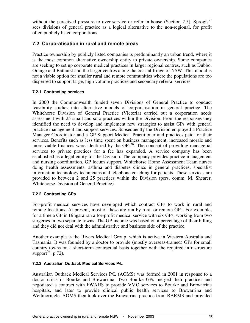without the perceived pressure to over-service or refer in-house (Section 2.5). Sprogis<sup>57</sup> sees divisions of general practice as a logical alternative to the non-regional, for profit often publicly listed corporations.

# **7.2 Corporatisation in rural and remote areas**

Practice ownership by publicly listed companies is predominantly an urban trend, where it is the most common alternative ownership entity to private ownership. Some companies are seeking to set up corporate medical practices in larger regional centres, such as Dubbo, Orange and Bathurst and the larger centres along the coastal fringe of NSW. This model is not a viable option for smaller rural and remote communities where the populations are too dispersed to support large, high volume practices and secondary referral services.

### **7.2.1 Contracting services**

In 2000 the Commonwealth funded seven Divisions of General Practice to conduct feasibility studies into alternative models of corporatisation in general practice. The Whitehorse Division of General Practice (Victoria) carried out a corporation needs assessment with 25 small and solo practices within the Division. From the responses they identified the need to develop and implement new strategies to assist GPs with general practice management and support services. Subsequently the Division employed a Practice Manager Coordinator and a GP Support Medical Practitioner and practices paid for their services. Benefits such as less time spent on business management, increased morale and more viable finances were identified by the GPs<sup>58</sup>. The concept of providing managerial services to private practices for a fee has expanded. A service company has been established as a legal entity for the Division. The company provides practice management and nursing coordination, GP locum support, Whitehorse Home Assessment Team nurses doing health assessments, asthma and diabetes clinics in general practices, specialist information technology technicians and telephone coaching for patients. These services are provided to between 2 and 25 practices within the Division (pers. comm. M. Shearer, Whitehorse Division of General Practice).

### **7.2.2 Contracting GPs**

For-profit medical services have developed which contract GPs to work in rural and remote locations. At present, most of these are run by rural or remote GPs. For example, for a time a GP in Bingara ran a for-profit medical service with six GPs, working from two surgeries in two separate towns. The GP income was based on a percentage of their billing and they did not deal with the administrative and business side of the practice.

Another example is the Rivers Medical Group, which is active in Western Australia and Tasmania. It was founded by a doctor to provide (mostly overseas-trained) GPs for small country towns on a short-term contractual basis together with the required infrastructure support<sup>59</sup>, p 72).

### **7.2.3 Australian Outback Medical Services P/L**

Australian Outback Medical Services P/L (AOMS) was formed in 2001 in response to a doctor crisis in Bourke and Brewarrina. Two Bourke GPs merged their practices and negotiated a contract with FWAHS to provide VMO services to Bourke and Brewarrina hospitals, and later to provide clinical public health services to Brewarrina and Weilmoringle. AOMS then took over the Brewarrina practice from RARMS and provided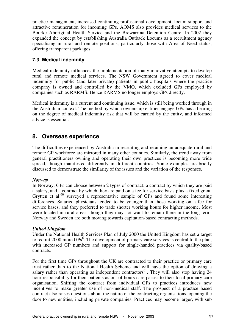practice management, increased continuing professional development, locum support and attractive remuneration for incoming GPs. AOMS also provides medical services to the Bourke Aboriginal Health Service and the Brewarrina Detention Centre. In 2002 they expanded the concept by establishing Australia Outback Locums as a recruitment agency specialising in rural and remote positions, particularly those with Area of Need status, offering transparent packages.

## **7.3 Medical indemnity**

Medical indemnity influences the implementation of many innovative attempts to develop rural and remote medical services. The NSW Government agreed to cover medical indemnity for public (and later private) patients in public hospitals where the practice company is owned and controlled by the VMO, which excluded GPs employed by companies such as RARMS. Hence RARMS no longer employs GPs directly.

Medical indemnity is a current and continuing issue, which is still being worked through in the Australian context. The method by which ownership entities engage GPs has a bearing on the degree of medical indemnity risk that will be carried by the entity, and informed advice is essential.

# **8. Overseas experience**

The difficulties experienced by Australia in recruiting and retaining an adequate rural and remote GP workforce are mirrored in many other counties. Similarly, the trend away from general practitioners owning and operating their own practices is becoming more wide spread, though manifested differently in different countries. Some examples are briefly discussed to demonstrate the similarity of the issues and the variation of the responses.

### *Norway*

In Norway, GPs can choose between 2 types of contract: a contract by which they are paid a salary, and a contract by which they are paid on a fee for service basis plus a fixed grant. Grytten et al.<sup>60</sup> surveyed a representative sample of GPs and found some interesting differences. Salaried physicians tended to be younger than those working on a fee for service bases, and they preferred to trade shorter working hours for higher income. Most were located in rural areas, though they may not want to remain there in the long term. Norway and Sweden are both moving towards capitation-based contracting methods.

#### *United Kingdom*

Under the National Health Services Plan of July 2000 the United Kingdom has set a target to recruit 2000 more  $\text{GPs}^6$ . The development of primary care services is central to the plan, with increased GP numbers and support for single-handed practices via quality-based contracts.

For the first time GPs throughout the UK are contracted to their practice or primary care trust rather than to the National Health Scheme and will have the option of drawing a salary rather than operating as independent contractors<sup>61</sup>. They will also stop having 24 hour responsibility for their patients as out of hours care passes to their local primary care organisation. Shifting the contract from individual GPs to practices introduces new incentives to make greater use of non-medical staff. The prospect of a practice based contract also raises questions about the nature of the contracting organisations, opening the door to new entities, including private companies. Practices may become larger, with sub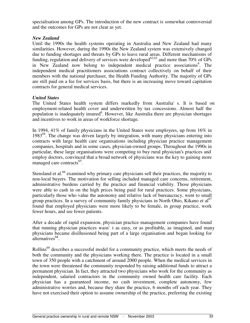specialisation among GPs. The introduction of the new contract is somewhat controversial and the outcomes for GPs are not clear as yet.

#### *New Zealand*

Until the 1990s the health systems operating in Australia and New Zealand had many similarities. However, during the 1990s the New Zealand system was extensively changed due to funding shortages and threats by GPs to leave rural areas. Different mechanisms of funding, regulation and delivery of services were developed<sup>62,63</sup> and more than 70% of GPs in New Zealand now belong to independent medical practice associations<sup>6</sup>. The independent medical practitioners associations contract collectively on behalf of their members with the national purchaser, the Health Funding Authority. The majority of GPs are still paid on a fee for services basis, but there is an increasing move toward capitation contracts for general medical services.

#### *United States*

The United States health system differs markedly from Australia's. It is based on employment-related health cover and underwritten by tax concessions. Almost half the population is inadequately insured<sup>6</sup>. However, like Australia there are physician shortages and incentives to work in areas of workforce shortage.

In 1994, 41% of family physicians in the United States were employees, up from 16% in 1983<sup>64</sup>. The change was driven largely by integration, with many physicians entering into contracts with large health care organisations including physician practice management companies, hospitals and in some cases, physician-owned groups. Throughout the 1990s in particular, these large organisations were competing to buy rural physician's practices and employ doctors, convinced that a broad network of physicians was the key to gaining more managed care contracts<sup>65</sup>.

Stensland et al.<sup>66</sup> examined why primary care physicians sell their practices, the majority to non-local buyers. The motivation for selling included managed care concerns, retirement, administrative burdens carried by the practice and financial viability. Those physicians were able to cash in on the high prices being paid for rural practices. Some physicians, particularly those who value the autonomy and relative lack of bureaucracy, went to small eroup practices. In a survey of community family physicians in North Ohio, Kikano et al<sup>67</sup> found that employed physicians were more likely to be female, in group practice, work fewer hours, and see fewer patients.

After a decade of rapid expansion, physician practice management companies have found that running physician practices wasn't as easy, or as profitable, as imagined, and many physicians became disillusioned being part of a large organisation and began looking for alternatives<sup>68</sup>.

Rollins<sup>69</sup> describes a successful model for a community practice, which meets the needs of both the community and the physicians working there. The practice is located in a small town of 350 people with a catchment of around 2000 people. When the medical services in the town were threatened the community responded by raising additional funds to attract a permanent physician. In fact, they attracted two physicians who work for the community as independent, salaried contractors in the community owned health care facility. Each physician has a guaranteed income, no cash investment, complete autonomy, few administrative worries and, because they share the practice, 6 months off each year. They have not exercised their option to assume ownership of the practice, preferring the existing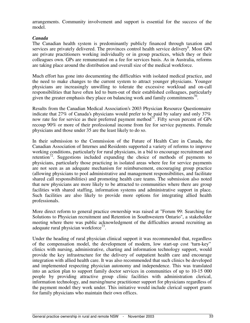arrangements. Community involvement and support is essential for the success of the model.

#### *Canada*

The Canadian health system is predominantly publicly financed through taxation and services are privately delivered. The provinces control health service delivery<sup>6</sup>. Most GPs are private practitioners working individually or in group practices, which they or their colleagues own. GPs are remunerated on a fee for services basis. As in Australia, reforms are taking place around the distribution and overall size of the medical workforce.

Much effort has gone into documenting the difficulties with isolated medical practice, and the need to make changes to the current system to attract younger physicians. Younger physicians are increasingly unwilling to tolerate the excessive workload and on-call responsibilities that have often led to burn-out of their established colleagues, particularly given the greater emphasis they place on balancing work and family commitments<sup>70</sup>.

Results from the Canadian Medical Association's 2003 Physician Resource Questionnaire indicate that 27% of Canada's physicians would prefer to be paid by salary and only 37% now rate fee for service as their preferred payment method<sup>71</sup>. Fifty seven percent of GPs recoup 90% or more of their professional income from fee for service payments. Female physicians and those under 35 are the least likely to do so.

In their submission to the Commission of the Future of Health Care in Canada, the Canadian Association of Internes and Residents supported a variety of reforms to improve working conditions, particularly for rural physicians, in a bid to encourage recruitment and retention<sup>72</sup>. Suggestions included expanding the choice of methods of payments to physicians, particularly those practicing in isolated areas where fee for service payments are not seen as an adequate mechanism for reimbursement, encouraging group practice (allowing physicians to pool administrative and management responsibilities, and facilitate shared call responsibilities) and promoting health care teams. The submission also noted that new physicians are more likely to be attracted to communities where there are group facilities with shared staffing, information systems and administrative support in place. Such facilities are also likely to provide more options for integrating allied health professionals.

More direct reform to general practice ownership was raised at "Forum 99: Searching for Solutions to Physician recruitment and Retention in Southwestern Ontario", a stakeholder meeting where there was public acknowledgment of the difficulties around recruiting an adequate rural physician workforce<sup>73</sup>.

Under the heading of rural physician clinical support it was recommended that, regardless of the compensation model, the development of modern, low start-up cost "turn-key" clinics with nursing, administrative, charting and information technology support, would provide the key infrastructure for the delivery of outpatient health care and encourage integration with allied health care. It was also recommended that such clinics be developed and implemented respecting physician autonomy and independence. This was translated into an action plan to support family doctor services in communities of up to 10-15 000 people by providing attractive group clinic facilities with administration clerical, information technology, and nursing/nurse practitioner support for physicians regardless of the payment model they work under. This initiative would include clerical support grants for family physicians who maintain their own offices.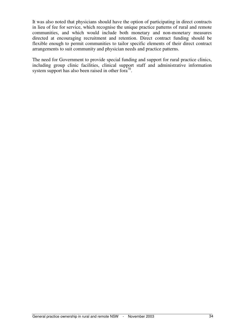It was also noted that physicians should have the option of participating in direct contracts in lieu of fee for service, which recognise the unique practice patterns of rural and remote communities, and which would include both monetary and non-monetary measures directed at encouraging recruitment and retention. Direct contract funding should be flexible enough to permit communities to tailor specific elements of their direct contract arrangements to suit community and physician needs and practice patterns.

The need for Government to provide special funding and support for rural practice clinics, including group clinic facilities, clinical support staff and administrative information system support has also been raised in other for $a^{70}$ .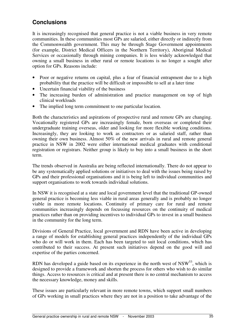# **Conclusions**

It is increasingly recognised that general practice is not a viable business in very remote communities. In these communities most GPs are salaried, either directly or indirectly from the Commonwealth government. This may be through Stage Government appointments (for example, District Medical Officers in the Northern Territory), Aboriginal Medical Services or occasionally through mining companies. It is less widely acknowledged that owning a small business in other rural or remote locations is no longer a sought after option for GPs. Reasons include:

- Poor or negative returns on capital, plus a fear of financial entrapment due to a high probability that the practice will be difficult or impossible to sell at a later time
- Uncertain financial viability of the business
- The increasing burden of administration and practice management on top of high clinical workloads
- The implied long term commitment to one particular location.

Both the characteristics and aspirations of prospective rural and remote GPs are changing. Vocationally registered GPs are increasingly female, born overseas or completed their undergraduate training overseas, older and looking for more flexible working conditions. Increasingly, they are looking to work as contractors or as salaried staff, rather than owning their own business. Almost 50% of the new arrivals in rural and remote general practice in NSW in 2002 were either international medical graduates with conditional registration or registrars. Neither group is likely to buy into a small business in the short term.

The trends observed in Australia are being reflected internationally. There do not appear to be any systematically applied solutions or initiatives to deal with the issues being raised by GPs and their professional organisations and it is being left to individual communities and support organisations to work towards individual solutions.

In NSW it is recognised at a state and local government level that the traditional GP-owned general practice is becoming less viable in rural areas generally and is probably no longer viable in more remote locations. Continuity of primary care for rural and remote communities increasingly depends on focussing resources on the continuity of medical practices rather than on providing incentives to individual GPs to invest in a small business in the community for the long term.

Divisions of General Practice, local government and RDN have been active in developing a range of models for establishing general practices independently of the individual GPs who do or will work in them. Each has been targeted to suit local conditions, which has contributed to their success. At present such initiatives depend on the good will and expertise of the parties concerned.

RDN has developed a guide based on its experience in the north west of  $NSW^{53}$ , which is designed to provide a framework and shorten the process for others who wish to do similar things. Access to resources is critical and at present there is no central mechanism to access the necessary knowledge, money and skills.

These issues are particularly relevant in more remote towns, which support small numbers of GPs working in small practices where they are not in a position to take advantage of the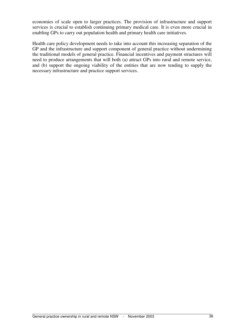economies of scale open to larger practices. The provision of infrastructure and support services is crucial to establish continuing primary medical care. It is even more crucial in enabling GPs to carry out population health and primary health care initiatives.

Health care policy development needs to take into account this increasing separation of the GP and the infrastructure and support component of general practice without undermining the traditional models of general practice. Financial incentives and payment structures will need to produce arrangements that will both (a) attract GPs into rural and remote service, and (b) support the ongoing viability of the entities that are now tending to supply the necessary infrastructure and practice support services.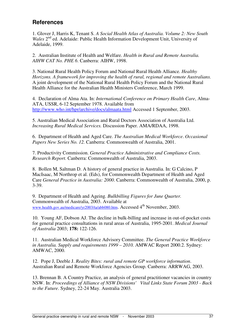# **References**

1. Glover J, Harris K, Tenant S. *A Social Health Atlas of Australia. Volume 2: New South* Wales 2<sup>nd</sup> ed. Adelaide: Public Health Information Development Unit, University of Adelaide, 1999.

2. Australian Institute of Health and Welfare. *Health in Rural and Remote Australia. AIHW CAT No. PHE 6*. Canberra: AIHW, 1998.

3. National Rural Health Policy Forum and National Rural Health Alliance. *Healthy Horizons. A framework for improving the health of rural, regional and remote Australians.* A joint development of the National Rural Health Policy Forum and the National Rural Health Alliance for the Australian Health Ministers Conference, March 1999.

4. Declaration of Alma Ata. In: *International Conference on Primary Health Care*, Alma-ATA, USSR, 6-12 September 1978. Available from http://www.who.int/hpr/archive/docs/almaata.html Accessed 1 September, 2003.

5. Australian Medical Association and Rural Doctors Association of Australia Ltd. *Increasing Rural Medical Services.* Discussion Paper. AMA/RDAA, 1998.

6. Department of Health and Aged Care. *The Australian Medical Workforce*. *Occasional Papers New Series No. 12.* Canberra: Commonwealth of Australia, 2001.

7. Productivity Commission. *General Practice Administrative and Compliance Costs. Research Report.* Canberra: Commonwealth of Australia, 2003.

8. Bollen M, Saltman D. A history of general practice in Australia. In: G Calcino, P MacIsaac, M Northrop et al. (Eds), for Commonwealth Department of Health and Aged Care *General Practice in Australia: 2000*. Canberra: Commonwealth of Australia, 2000, p. 3-39.

9. Department of Health and Ageing. *Bulkbilling Figures for June Quarter.* Commonwealth of Australia, 2003. Available at www.health.gov.au/medicare/yr2003/ta/abb080.htm. Accessed 4<sup>th</sup> November, 2003.

10. Young AF, Dobson AJ. The decline in bulk-billing and increase in out-of-pocket costs for general practice consultations in rural areas of Australia, 1995-2001. *Medical Journal of Australia* 2003; **178:** 122-126.

11. Australian Medical Workforce Advisory Committee. *The General Practice Workforce in Australia. Supply and requirements 1999 – 2010.* AMWAC Report 2000.2. Sydney: AMWAC, 2000.

12. Pope J, Deeble J. *Reality Bites: rural and remote GP workforce information*. Australian Rural and Remote Workforce Agencies Group. Canberra: ARRWAG, 2003.

13. Brennan B. A Country Practice, an analysis of general practitioner vacancies in country NSW. In: *Proceedings of Alliance of NSW Divisions' Vital Links State Forum 2003 - Back to the Future*. Sydney, 22-24 May. Australia 2003.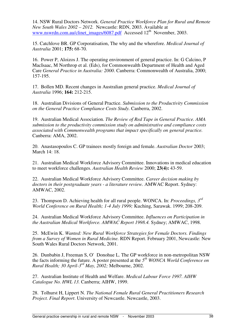14. NSW Rural Doctors Network. *General Practice Workforce Plan for Rural and Remote New South Wales 2002 – 2012.* Newcastle: RDN, 2003. Available at www.nswrdn.com.au/clinet\_images/6087.pdf Accessed 12<sup>th</sup> November, 2003.

15. Catchlove BR. GP Corporatisation, The why and the wherefore. *Medical Journal of Australia* 2001; **175:** 68-70.

16. Power P, Aloizos J. The operating environment of general practice. In: G Calcino, P MacIsaac, M Northrop et al. (Eds), for Commonwealth Department of Health and Aged Care *General Practice in Australia: 2000*. Canberra: Commonwealth of Australia, 2000; 157-195.

17. Bollen MD. Recent changes in Australian general practice. *Medical Journal of Australia* 1996; **164:** 212-215.

18. Australian Divisions of General Practice. *Submission to the Productivity Commission on the General Practice Compliance Costs Study.* Canberra, 2002.

19. Australian Medical Association. *The Review of Red Tape in General Practice. AMA submission to the productivity commission study on administrative and compliance costs associated with Commonwealth programs that impact specifically on general practice.* Canberra: AMA, 2002.

20. Anastasopoulos C. GP trainees mostly foreign and female. *Australian Doctor* 2003; March 14: 18.

21. Australian Medical Workforce Advisory Committee. Innovations in medical education to meet workforce challenges. *Australian Health Review* 2000; **23(4):** 43-59.

22. Australian Medical Workforce Advisory Committee. *Career decision making by doctors in their postgraduate years - a literature review.* AMWAC Report. Sydney: AMWAC, 2002.

23. Thompson D. Achieving health for all rural people. WONCA. In: *Proceedings, 3rd World Conference on Rural Health; 1-4 July 1999;* Kuching, Sarawak. 1999; 208-209.

24. Australian Medical Workforce Advisory Committee. *Influences on Participation in the Australian Medical Workforce. AMWAC Report 1998.4.* Sydney; AMWAC, 1998.

25. McEwin K. *Wanted: New Rural Workforce Strategies for Female Doctors. Findings from a Survey of Women in Rural Medicine.* RDN Report. February 2001, Newcastle: New South Wales Rural Doctors Network, 2001.

26. Dunbabin J, Freeman S, O'Donohue L. The GP workforce in non-metropolitan NSW the facts informing the future. A poster presented at the *5 th WONCA World Conference on Rural Health; 30 April-3 rd May, 2002;* Melbourne, 2002.

27. Australian Institute of Health and Welfare. *Medical Labour Force 1997. AIHW Catalogue No. HWL 13.* Canberra; AIHW, 1999.

28. Tolhurst H, Lippert N. *The National Female Rural General Practitioners Research Project. Final Report*. University of Newcastle. Newcastle, 2003.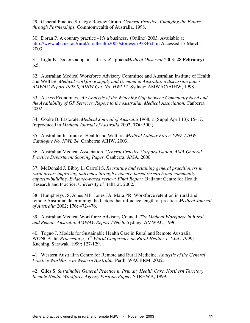29. General Practice Strategy Review Group. *General Practice. Changing the Future through Partnerships.* Commonwealth of Australia, 1998.

30. Doran P. A country practice - it's a business. (Online) 2003. Available at http://www.abc.net.au/rural/ruralhealth2003/stories/s792846.htm Accessed 17 March, 2003.

31. Light E. Doctors adopt a 'lifestyle' practicledical Observor 2003; 28 February: p.5.

32. Australian Medical Workforce Advisory Committee and Australian Institute of Health and Welfare. *Medical workforce supply and Demand in Australia: a discussion paper. AMWAC Report 1998.8, AIHW Cat. No. HWL12*. Sydney: AMWAC/AIHW, 1998.

33. Access Economics. *An Analysis of the Widening Gap between Community Need and the Availability of GP Services. Report to the Australian Medical Association.* Canberra, 2002.

34. Cooke B. Pastorale. *Medical Journal of Australia* 1968; **1** (Suppl April 13): 15-17. (reproduced in *Medical Journal of Australia* 2002; **176:** 500.)

35. Australian Institute of Health and Welfare. *Medical Labour Force 1999. AIHW Catalogue No. HWL 24.* Canberra: AIHW, 2003.

36. Australian Medical Association. *General Practice Corporatisation. AMA General Practice Department Scoping Paper.* Canberra: AMA, 2000.

37. McDonald J, Bibby L, Carroll S. *Recruiting and retaining general practitioners in rural areas: improving outcomes through evidence-based research and community capacity-building. Evidence-based review: Final Report.* Ballarat: Centre for Health Research and Practice, University of Ballarat, 2002.

38. Humphreys JS, Jones MP, Jones JA, Mara PR. Workforce retention in rural and remote Australia: determining the factors that influence length of practice. *Medical Journal of Australia* 2002; **176:** 472-476.

39. Australian Medical Workforce Advisory Council. *The Medical Workforce in Rural and Remote Australia. AMWAC Report 1996.8.* Sydney: AMWAC, 1996.

40. Togno J. Models for Sustainable Health Care in Rural and Remote Australia. WONCA. In: *Proceedings, 3rd World Conference on Rural Health; 1-4 July 1999;* Kuching, Sarawak. 1999; 127-129.

41. Western Australian Centre for Remote and Rural Medicine. *Analysis of the General Practice Workforce in Western Australia.* Perth: WACRRM, 2002.

42. Giles S. *Sustainable General Practice in Primary Health Care. Northern Territory Remote Health Workforce Agency Position Paper*. NTRHWA, 1999.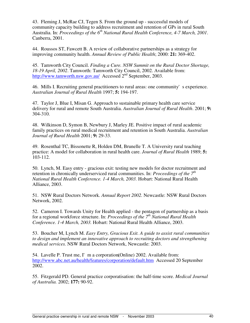43. Fleming J, McRae CJ, Tegen S. From the ground up - successful models of community capacity building to address recruitment and retention of GPs in rural South Australia. In: *Proceedings of the 6 th National Rural Health Conference, 4-7 March, 2001*. Canberra, 2001.

44. Roussos ST, Fawcett B. A review of collaborative partnerships as a strategy for improving community health. *Annual Review of Public Health*; 2000: **21:** 369-402.

45. Tamworth City Council. *Finding a Cure. NSW Summit on the Rural Doctor Shortage, 18-19 April, 2002*. Tamworth: Tamworth City Council, 2002. Available from: http://www.tamworth.nsw.gov.au/ Accessed 2<sup>nd</sup> September, 2003.

46. Mills I. Recruiting general practitioners to rural areas: one community's experience. *Australian Journal of Rural Health* 1997; **5:** 194-197.

47. Taylor J, Blue I, Misan G. Approach to sustainable primary health care service delivery for rural and remote South Australia. *Australian Journal of Rural Health*. 2001; **9:** 304-310.

48. Wilkinson D, Symon B, Newbury J, Marley JE. Positive impact of rural academic family practices on rural medical recruitment and retention in South Australia. *Australian Journal of Rural Health* 2001; **9:** 29-33.

49. Rosenthal TC, Bissonette R, Holden DM, Brunelle T. A University rural teaching practice: A model for collaboration in rural health care. *Journal of Rural Health* 1989; **5:** 103-112.

50. Lynch, M. Easy entry - gracious exit: testing new models for doctor recruitment and retention in chronically underserviced rural communities. In: *Proceedings of the*  $7<sup>th</sup>$ *National Rural Health Conference. 1-4 March, 2003.* Hobart: National Rural Health Alliance, 2003.

51. NSW Rural Doctors Network. *Annual Report 2002.* Newcastle: NSW Rural Doctors Network, 2002.

52. Cameron I. Towards Unity for Health applied - the pentagon of partnership as a basis for a regional workforce structure. In: *Proceedings of the 7 th National Rural Health Conference. 1-4 March, 2003.* Hobart: National Rural Health Alliance, 2003.

53. Boucher M, Lynch M. *Easy Entry, Gracious Exit. A guide to assist rural communities to design and implement an innovative approach to recruiting doctors and strengthening medical services.* NSW Rural Doctors Network, Newcastle: 2003.

54. Lavelle P. Trust me, I'm a corporation. (Online) 2002. Available from: http://www.abc.net.au/health/features/corporation/default.htm Accessed 20 September 2002.

55. Fitzgerald PD. General practice corporatisation: the half-time score. *Medical Journal of Australia.* 2002; **177:** 90-92.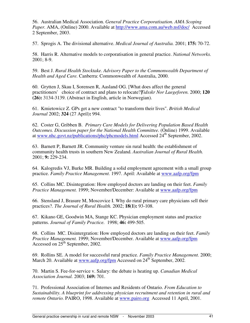56. Australian Medical Association. *General Practice Corporatisation. AMA Scoping Paper.* AMA, (Online) 2000. Available at http://www.ama.com.au/web.nsf/doc/ Accessed 2 September, 2003.

57. Sprogis A. The divisional alternative. *Medical Journal of Australia.* 2001; **175:** 70-72.

58. Harris R. Alternative models to corporatisation in general practice. *National Networks.* 2001; 8-9.

59. Best J. *Rural Health Stocktake. Advisory Paper to the Commonwealth Department of Health and Aged Care.* Canberra: Commonwealth of Australia, 2000.

60. Grytten J, Skau I, Sorensen R, Aasland OG. [What does affect the general practitioners' choice of contract and plans to relocate?] *Tidsskr Nor Laegeforen.* 2000; **120 (26):** 3134-3139. (Abstract in English, article in Norwegian).

61. Kmietowicz Z. GPs get a new contract "to transform their lives". *British Medical Journal* 2002; **324** (27 April)**:** 994.

62. Coster G, Gribben B. *Primary Care Models for Delivering Population Based Health Outcomes. Discussion paper for the National Health Committee.* (Online) 1999. Available at www.nhc.govt.nz/publications/phc/phcmodels.html Accessed 24<sup>th</sup> September, 2002.

63. Barnett P, Barnett JR. Community venture sin rural health: the establishment of community health trusts in southern New Zealand. *Australian Journal of Rural Health.* 2001; **9:** 229-234.

64. Kalogredis VJ, Burke MR. Building a solid employment agreement with a small group practice. *Family Practice Management.* 1997. April: Available at www.aafp.org/fpm

65. Collins MC. Disintegration: How employed doctors are landing on their feet. *Family Practice Management.* 1999; November/December: Available at www.aafp.org/fpm

66. Stensland J, Brasure M, Moscovice I. Why do rural primary care physicians sell their practices?. *The Journal of Rural Health.* 2002; **18(1):** 93-108.

67. Kikano GE, Goodwin MA, Stange KC. Physician employment status and practice patterns. *Journal of Family Practice.* 1998; **46:** 499-505.

68. Collins MC. Disintergration: How employed doctors are landing on their feet. *Family Practice Management.* 1999; November/December. Available at www.aafp.org/fpm Accessed on  $25^{\text{th}}$  September, 2002.

69. Rollins SE. A model for successful rural practice. *Family Practice Management.* 2000; March 20. Available at www.aafp.org/fpm Accessed on 24<sup>th</sup> September, 2002.

70. Martin S. Fee-for-service v. Salary: the debate is heating up. *Canadian Medical Association Journal.* 2003; **169:** 701.

71. Professional Association of Internes and Residents of Ontario. *From Education to Sustainability. A blueprint for addressing physician recruitment and retention in rural and remote Ontario.* PAIRO, 1998. Available at www.pairo.org Accessed 11 April, 2001.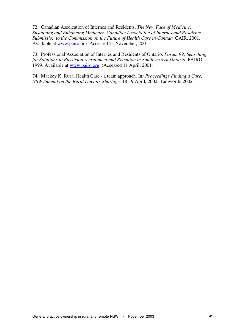72. Canadian Assoication of Internes and Residents. *The New Face of Medicine: Sustaining and Enhancing Medicare. Canadian Association of Internes and Residents. Submission to the Commission on the Future of Health Care in Canada.* CAIR, 2001*.* Available at www.pairo.org Accessed 21 November, 2001.

73. Professional Association of Internes and Residents of Ontario. *Forum 99: Searching for Solutions to Physician recruitment and Retention in Southwestern Ontario.* PAIRO, 1999. Available at www.pairo.org (Accessed 11 April, 2001)

74. Mackey K. Rural Health Care - a team approach. In*: Proceedings Finding a Cure, NSW Summit on the Rural Doctors Shortage.* 18-19 April, 2002. Tamworth, 2002.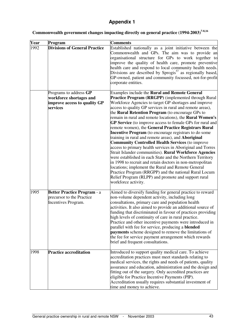# **Appendix 1**

| Commonwealth government changes impacting directly on general practice (1994-2003) <sup>7-8,16</sup> |  |  |  |
|------------------------------------------------------------------------------------------------------|--|--|--|
|                                                                                                      |  |  |  |
|                                                                                                      |  |  |  |

| $\overline{\mathbf{Y}}$ ear | Program                                                                                       | <b>Comments</b>                                                                                                                                                                                                                                                                                                                                                                                                                                                                                                                                                                                                                                                                                                                                                                                                                                                                                                                                                                                                                                                                                 |
|-----------------------------|-----------------------------------------------------------------------------------------------|-------------------------------------------------------------------------------------------------------------------------------------------------------------------------------------------------------------------------------------------------------------------------------------------------------------------------------------------------------------------------------------------------------------------------------------------------------------------------------------------------------------------------------------------------------------------------------------------------------------------------------------------------------------------------------------------------------------------------------------------------------------------------------------------------------------------------------------------------------------------------------------------------------------------------------------------------------------------------------------------------------------------------------------------------------------------------------------------------|
| 1992                        | <b>Divisions of General Practice</b>                                                          | Established nationally as a joint initiative between the<br>Commonwealth and GPs. The aim was to provide an<br>organisational structure for GPs to work together to<br>improve the quality of health care, promote preventive<br>health care and respond to local community health needs.<br>Divisions are described by Sprogis $^{57}$ as regionally based,<br>GP-owned, patient and community focussed, not-for-profit<br>corporate entities.                                                                                                                                                                                                                                                                                                                                                                                                                                                                                                                                                                                                                                                 |
|                             | Programs to address GP<br>workforce shortages and<br>improve access to quality GP<br>services | Examples include the Rural and Remote General<br><b>Practice Program (RRGPP)</b> (implemented through Rural<br>Workforce Agencies to target GP shortages and improve<br>access to quality GP services in rural and remote areas),<br>the Rural Retention Program (to encourage GPs to<br>remain in rural and remote locations), the Rural Women's<br>GP Service (to improve access to female GPs for rural and<br>remote women), the General Practice Registrars Rural<br>Incentive Program (to encourage registrars to do some<br>training in rural and remote areas), and Aboriginal<br><b>Community Controlled Health Services (to improve</b><br>access to primary health services in Aboriginal and Torres<br>Strait Islander communities). Rural Workforce Agencies<br>were established in each State and the Northern Territory<br>in 1998 to recruit and retain doctors in non-metropolitan<br>locations; implement the Rural and Remote General<br>Practice Program (RRGPP) and the national Rural Locum<br>Relief Program (RLPP) and promote and support rural<br>workforce activity. |
| 1995                        | <b>Better Practice Program - a</b><br>precursor to the Practice<br>Incentives Program.        | Aimed to diversify funding for general practice to reward<br>non-volume dependent activity, including long<br>consultations, primary care and population health<br>activities. It also aimed to provide an additional source of<br>funding that discriminated in favour of practices providing<br>high levels of continuity of care in rural practice.<br>Practice and other incentive payments were introduced in<br>parallel with fee for service, producing a <b>blended</b><br>payments scheme designed to remove the limitations of<br>the fee for service payment arrangement which rewards<br>brief and frequent consultations.                                                                                                                                                                                                                                                                                                                                                                                                                                                          |
| 1998                        | <b>Practice accreditation</b>                                                                 | Introduced to support quality medical care. To achieve<br>accreditation practices must meet standards relating to<br>medical services, the rights and needs of patients, quality<br>assurance and education, administration and the design and<br>fitting out of the surgery. Only accredited practices are<br>eligible for Practice Incentive Payments (PIP).<br>Accreditation usually requires substantial investment of<br>time and money to achieve.                                                                                                                                                                                                                                                                                                                                                                                                                                                                                                                                                                                                                                        |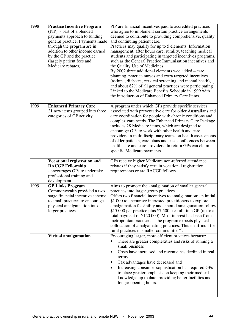| 1998 | <b>Practice Incentive Program</b><br>(PIP) - part of a blended<br>payments approach to funding<br>general practice. Payments made<br>through the program are in<br>addition to other income earned<br>by the GP and the practice<br>(largely patient fees and<br>Medicare rebates). | PIP are financial incentives paid to accredited practices<br>who agree to implement certain practice arrangements<br>deemed to contribute to providing comprehensive, quality<br>and continuing patient care.<br>Practices may qualify for up to 5 elements: Information<br>management, after hours care, rurality, teaching medical<br>students and participating in targeted incentives programs,<br>such as the General Practice Immunisation incentives and<br>the Quality Use of Medicines.<br>By 2002 three additional elements wee added $-$ care<br>planning, practice nurses and extra targeted incentives<br>(asthma, diabetes, cervical screening and mental heath),<br>and about 82% of all general practices were participating $6$<br>Linked to the Medicare Benefits Schedule in 1999 with<br>the introduction of Enhanced Primary Care Items. |
|------|-------------------------------------------------------------------------------------------------------------------------------------------------------------------------------------------------------------------------------------------------------------------------------------|---------------------------------------------------------------------------------------------------------------------------------------------------------------------------------------------------------------------------------------------------------------------------------------------------------------------------------------------------------------------------------------------------------------------------------------------------------------------------------------------------------------------------------------------------------------------------------------------------------------------------------------------------------------------------------------------------------------------------------------------------------------------------------------------------------------------------------------------------------------|
| 1999 | <b>Enhanced Primary Care</b><br>21 new items grouped into three<br>categories of GP activity                                                                                                                                                                                        | A program under which GPs provide specific services<br>associated with preventative care for older Australians and<br>care coordination for people with chronic conditions and<br>complex care needs. The Enhanced Primary Care Package<br>includes 28 Medicare items, which are designed to<br>encourage GPs to work with other health and care<br>providers in multidisciplinary teams on health assessments<br>of older patients, care plans and case conferences between<br>health care and care providers. In return GPs can claim<br>specific Medicare payments.                                                                                                                                                                                                                                                                                        |
|      | <b>Vocational registration and</b><br><b>RACGP Fellowship</b><br>encourages GPs to undertake<br>professional training and<br>development.                                                                                                                                           | GPs receive higher Medicare non-referred attendance<br>rebates if they satisfy certain vocational registration<br>requirements or are RACGP fellows.                                                                                                                                                                                                                                                                                                                                                                                                                                                                                                                                                                                                                                                                                                          |
| 1999 | <b>GP Links Program</b><br>Commonwealth provided a two<br>stage financial incentive scheme<br>to small practices to encourage<br>physical amalgamation into<br>larger practices                                                                                                     | Aims to promote the amalgamation of smaller general<br>practices into larger group practices.<br>Offers two financial incentives to amalgamation: an initial<br>\$1 000 to encourage interested practitioners to explore<br>amalgamation feasibility and, should amalgamation follow,<br>\$15 000 per practice plus \$7 500 per full time GP (up to a<br>total payment of \$120 000). Most interest has been from<br>metropolitan practices as the program expects physical<br>collocation of amalgamating practices. This is difficult for<br>rural practices in smaller communities <sup>48</sup> .                                                                                                                                                                                                                                                         |
|      | Virtual amalgamation                                                                                                                                                                                                                                                                | Encouraging larger, more efficient practices because:<br>There are greater complexities and risks of running a<br>small business<br>Costs have increased and revenue has declined in real<br>terms<br>Tax advantages have decreased and<br>Increasing consumer sophistication has required GPs<br>to place greater emphasis on keeping their medical<br>knowledge up to date, providing better facilities and<br>longer opening hours.                                                                                                                                                                                                                                                                                                                                                                                                                        |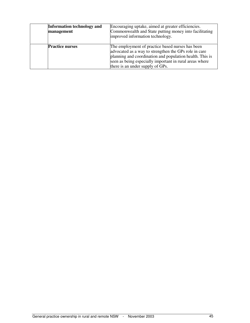| <b>Information technology and</b><br>management | Encouraging uptake, aimed at greater efficiencies.<br>Commonwealth and State putting money into facilitating<br>improved information technology.                                                                                                                     |
|-------------------------------------------------|----------------------------------------------------------------------------------------------------------------------------------------------------------------------------------------------------------------------------------------------------------------------|
| <b>Practice nurses</b>                          | The employment of practice based nurses has been<br>advocated as a way to strengthen the GPs role in care<br>planning and coordination and population health. This is<br>seen as being especially important in rural areas where<br>there is an under supply of GPs. |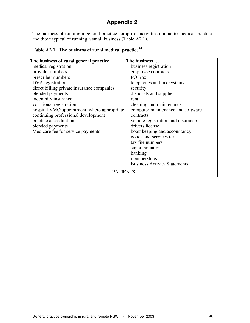# **Appendix 2**

The business of running a general practice comprises activities unique to medical practice and those typical of running a small business (Table A2.1).

| The business of rural general practice      | The business                        |
|---------------------------------------------|-------------------------------------|
| medical registration                        | business registration               |
| provider numbers                            | employee contracts                  |
| prescriber numbers                          | PO Box                              |
| DVA registration                            | telephones and fax systems          |
| direct billing private insurance companies  | security                            |
| blended payments                            | disposals and supplies              |
| indemnity insurance                         | rent                                |
| vocational registration                     | cleaning and maintenance            |
| hospital VMO appointment, where appropriate | computer maintenance and software   |
| continuing professional development         | contracts                           |
| practice accreditation                      | vehicle registration and insurance  |
| blended payments                            | drivers license                     |
| Medicare fee for service payments           | book keeping and accountancy        |
|                                             | goods and services tax              |
|                                             | tax file numbers                    |
|                                             | superannuation                      |
|                                             | banking                             |
|                                             | memberships                         |
|                                             | <b>Business Activity Statements</b> |
| <b>PATIENTS</b>                             |                                     |

**Table A2.1. The business of rural medical practice<sup>74</sup>**